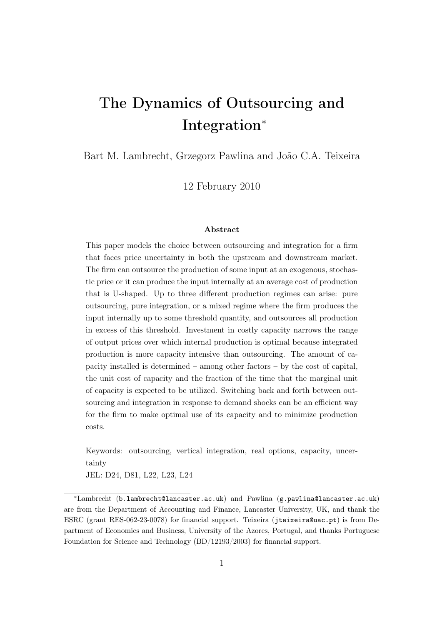# The Dynamics of Outsourcing and Integration<sup>∗</sup>

Bart M. Lambrecht, Grzegorz Pawlina and João C.A. Teixeira

12 February 2010

#### Abstract

This paper models the choice between outsourcing and integration for a firm that faces price uncertainty in both the upstream and downstream market. The firm can outsource the production of some input at an exogenous, stochastic price or it can produce the input internally at an average cost of production that is U-shaped. Up to three different production regimes can arise: pure outsourcing, pure integration, or a mixed regime where the firm produces the input internally up to some threshold quantity, and outsources all production in excess of this threshold. Investment in costly capacity narrows the range of output prices over which internal production is optimal because integrated production is more capacity intensive than outsourcing. The amount of capacity installed is determined – among other factors – by the cost of capital, the unit cost of capacity and the fraction of the time that the marginal unit of capacity is expected to be utilized. Switching back and forth between outsourcing and integration in response to demand shocks can be an efficient way for the firm to make optimal use of its capacity and to minimize production costs.

Keywords: outsourcing, vertical integration, real options, capacity, uncertainty

JEL: D24, D81, L22, L23, L24

<sup>∗</sup>Lambrecht (b.lambrecht@lancaster.ac.uk) and Pawlina (g.pawlina@lancaster.ac.uk) are from the Department of Accounting and Finance, Lancaster University, UK, and thank the ESRC (grant RES-062-23-0078) for financial support. Teixeira (jteixeira@uac.pt) is from Department of Economics and Business, University of the Azores, Portugal, and thanks Portuguese Foundation for Science and Technology (BD/12193/2003) for financial support.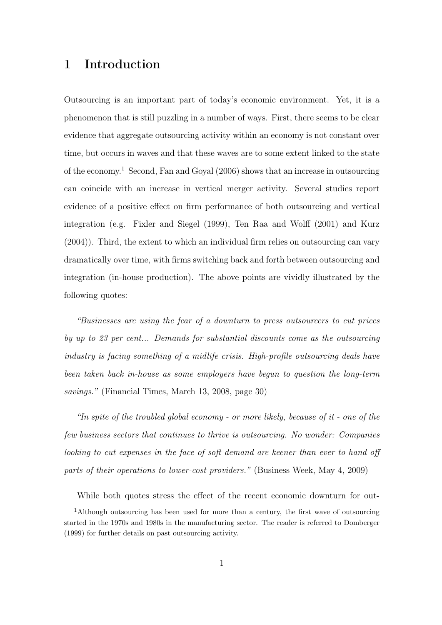## 1 Introduction

Outsourcing is an important part of today's economic environment. Yet, it is a phenomenon that is still puzzling in a number of ways. First, there seems to be clear evidence that aggregate outsourcing activity within an economy is not constant over time, but occurs in waves and that these waves are to some extent linked to the state of the economy.<sup>1</sup> Second, Fan and Goyal (2006) shows that an increase in outsourcing can coincide with an increase in vertical merger activity. Several studies report evidence of a positive effect on firm performance of both outsourcing and vertical integration (e.g. Fixler and Siegel (1999), Ten Raa and Wolff (2001) and Kurz (2004)). Third, the extent to which an individual firm relies on outsourcing can vary dramatically over time, with firms switching back and forth between outsourcing and integration (in-house production). The above points are vividly illustrated by the following quotes:

"Businesses are using the fear of a downturn to press outsourcers to cut prices by up to 23 per cent... Demands for substantial discounts come as the outsourcing industry is facing something of a midlife crisis. High-profile outsourcing deals have been taken back in-house as some employers have begun to question the long-term savings." (Financial Times, March 13, 2008, page 30)

"In spite of the troubled global economy - or more likely, because of it - one of the few business sectors that continues to thrive is outsourcing. No wonder: Companies looking to cut expenses in the face of soft demand are keener than ever to hand off parts of their operations to lower-cost providers." (Business Week, May 4, 2009)

While both quotes stress the effect of the recent economic downturn for out-

<sup>&</sup>lt;sup>1</sup>Although outsourcing has been used for more than a century, the first wave of outsourcing started in the 1970s and 1980s in the manufacturing sector. The reader is referred to Domberger (1999) for further details on past outsourcing activity.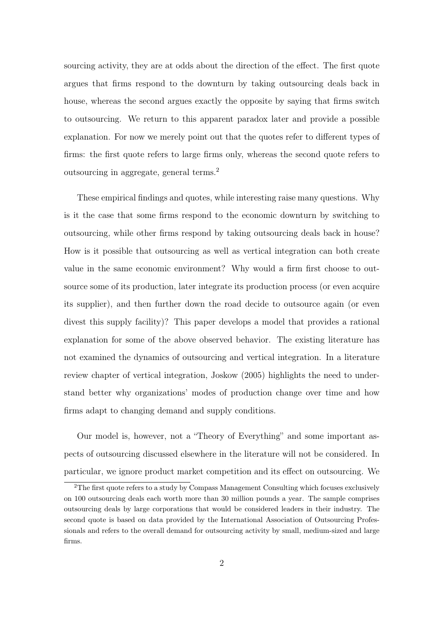sourcing activity, they are at odds about the direction of the effect. The first quote argues that firms respond to the downturn by taking outsourcing deals back in house, whereas the second argues exactly the opposite by saying that firms switch to outsourcing. We return to this apparent paradox later and provide a possible explanation. For now we merely point out that the quotes refer to different types of firms: the first quote refers to large firms only, whereas the second quote refers to outsourcing in aggregate, general terms.<sup>2</sup>

These empirical findings and quotes, while interesting raise many questions. Why is it the case that some firms respond to the economic downturn by switching to outsourcing, while other firms respond by taking outsourcing deals back in house? How is it possible that outsourcing as well as vertical integration can both create value in the same economic environment? Why would a firm first choose to outsource some of its production, later integrate its production process (or even acquire its supplier), and then further down the road decide to outsource again (or even divest this supply facility)? This paper develops a model that provides a rational explanation for some of the above observed behavior. The existing literature has not examined the dynamics of outsourcing and vertical integration. In a literature review chapter of vertical integration, Joskow (2005) highlights the need to understand better why organizations' modes of production change over time and how firms adapt to changing demand and supply conditions.

Our model is, however, not a "Theory of Everything" and some important aspects of outsourcing discussed elsewhere in the literature will not be considered. In particular, we ignore product market competition and its effect on outsourcing. We

<sup>2</sup>The first quote refers to a study by Compass Management Consulting which focuses exclusively on 100 outsourcing deals each worth more than 30 million pounds a year. The sample comprises outsourcing deals by large corporations that would be considered leaders in their industry. The second quote is based on data provided by the International Association of Outsourcing Professionals and refers to the overall demand for outsourcing activity by small, medium-sized and large firms.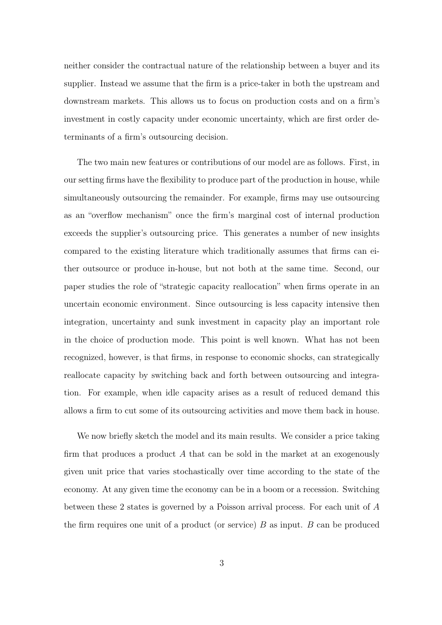neither consider the contractual nature of the relationship between a buyer and its supplier. Instead we assume that the firm is a price-taker in both the upstream and downstream markets. This allows us to focus on production costs and on a firm's investment in costly capacity under economic uncertainty, which are first order determinants of a firm's outsourcing decision.

The two main new features or contributions of our model are as follows. First, in our setting firms have the flexibility to produce part of the production in house, while simultaneously outsourcing the remainder. For example, firms may use outsourcing as an "overflow mechanism" once the firm's marginal cost of internal production exceeds the supplier's outsourcing price. This generates a number of new insights compared to the existing literature which traditionally assumes that firms can either outsource or produce in-house, but not both at the same time. Second, our paper studies the role of "strategic capacity reallocation" when firms operate in an uncertain economic environment. Since outsourcing is less capacity intensive then integration, uncertainty and sunk investment in capacity play an important role in the choice of production mode. This point is well known. What has not been recognized, however, is that firms, in response to economic shocks, can strategically reallocate capacity by switching back and forth between outsourcing and integration. For example, when idle capacity arises as a result of reduced demand this allows a firm to cut some of its outsourcing activities and move them back in house.

We now briefly sketch the model and its main results. We consider a price taking firm that produces a product A that can be sold in the market at an exogenously given unit price that varies stochastically over time according to the state of the economy. At any given time the economy can be in a boom or a recession. Switching between these 2 states is governed by a Poisson arrival process. For each unit of A the firm requires one unit of a product (or service)  $B$  as input.  $B$  can be produced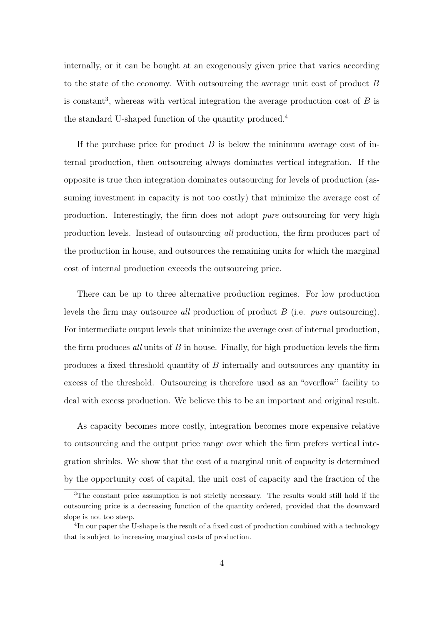internally, or it can be bought at an exogenously given price that varies according to the state of the economy. With outsourcing the average unit cost of product B is constant<sup>3</sup>, whereas with vertical integration the average production cost of  $B$  is the standard U-shaped function of the quantity produced.<sup>4</sup>

If the purchase price for product  $B$  is below the minimum average cost of internal production, then outsourcing always dominates vertical integration. If the opposite is true then integration dominates outsourcing for levels of production (assuming investment in capacity is not too costly) that minimize the average cost of production. Interestingly, the firm does not adopt pure outsourcing for very high production levels. Instead of outsourcing all production, the firm produces part of the production in house, and outsources the remaining units for which the marginal cost of internal production exceeds the outsourcing price.

There can be up to three alternative production regimes. For low production levels the firm may outsource all production of product B (i.e. pure outsourcing). For intermediate output levels that minimize the average cost of internal production, the firm produces all units of  $B$  in house. Finally, for high production levels the firm produces a fixed threshold quantity of B internally and outsources any quantity in excess of the threshold. Outsourcing is therefore used as an "overflow" facility to deal with excess production. We believe this to be an important and original result.

As capacity becomes more costly, integration becomes more expensive relative to outsourcing and the output price range over which the firm prefers vertical integration shrinks. We show that the cost of a marginal unit of capacity is determined by the opportunity cost of capital, the unit cost of capacity and the fraction of the

<sup>3</sup>The constant price assumption is not strictly necessary. The results would still hold if the outsourcing price is a decreasing function of the quantity ordered, provided that the downward slope is not too steep.

<sup>&</sup>lt;sup>4</sup>In our paper the U-shape is the result of a fixed cost of production combined with a technology that is subject to increasing marginal costs of production.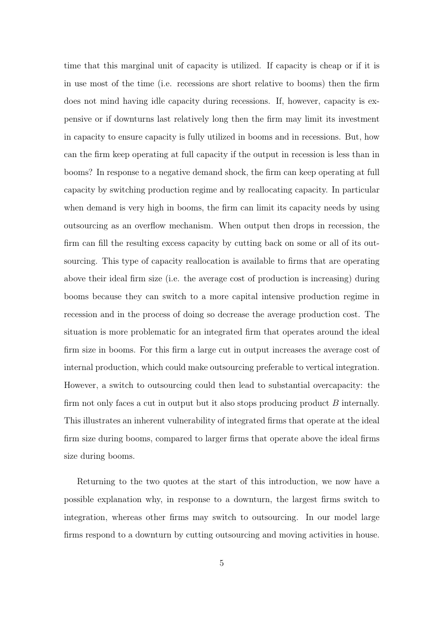time that this marginal unit of capacity is utilized. If capacity is cheap or if it is in use most of the time (i.e. recessions are short relative to booms) then the firm does not mind having idle capacity during recessions. If, however, capacity is expensive or if downturns last relatively long then the firm may limit its investment in capacity to ensure capacity is fully utilized in booms and in recessions. But, how can the firm keep operating at full capacity if the output in recession is less than in booms? In response to a negative demand shock, the firm can keep operating at full capacity by switching production regime and by reallocating capacity. In particular when demand is very high in booms, the firm can limit its capacity needs by using outsourcing as an overflow mechanism. When output then drops in recession, the firm can fill the resulting excess capacity by cutting back on some or all of its outsourcing. This type of capacity reallocation is available to firms that are operating above their ideal firm size (i.e. the average cost of production is increasing) during booms because they can switch to a more capital intensive production regime in recession and in the process of doing so decrease the average production cost. The situation is more problematic for an integrated firm that operates around the ideal firm size in booms. For this firm a large cut in output increases the average cost of internal production, which could make outsourcing preferable to vertical integration. However, a switch to outsourcing could then lead to substantial overcapacity: the firm not only faces a cut in output but it also stops producing product  $B$  internally. This illustrates an inherent vulnerability of integrated firms that operate at the ideal firm size during booms, compared to larger firms that operate above the ideal firms size during booms.

Returning to the two quotes at the start of this introduction, we now have a possible explanation why, in response to a downturn, the largest firms switch to integration, whereas other firms may switch to outsourcing. In our model large firms respond to a downturn by cutting outsourcing and moving activities in house.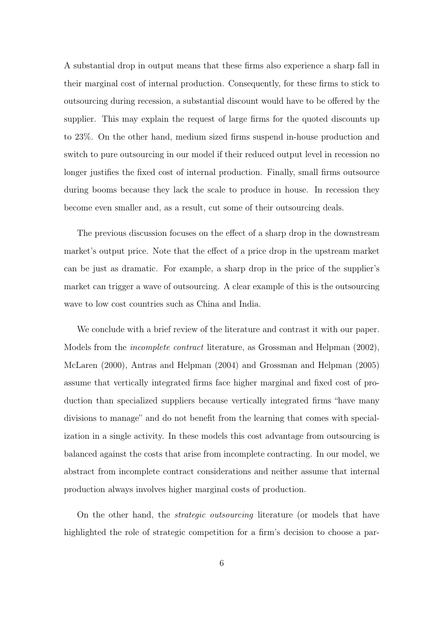A substantial drop in output means that these firms also experience a sharp fall in their marginal cost of internal production. Consequently, for these firms to stick to outsourcing during recession, a substantial discount would have to be offered by the supplier. This may explain the request of large firms for the quoted discounts up to 23%. On the other hand, medium sized firms suspend in-house production and switch to pure outsourcing in our model if their reduced output level in recession no longer justifies the fixed cost of internal production. Finally, small firms outsource during booms because they lack the scale to produce in house. In recession they become even smaller and, as a result, cut some of their outsourcing deals.

The previous discussion focuses on the effect of a sharp drop in the downstream market's output price. Note that the effect of a price drop in the upstream market can be just as dramatic. For example, a sharp drop in the price of the supplier's market can trigger a wave of outsourcing. A clear example of this is the outsourcing wave to low cost countries such as China and India.

We conclude with a brief review of the literature and contrast it with our paper. Models from the incomplete contract literature, as Grossman and Helpman (2002), McLaren (2000), Antras and Helpman (2004) and Grossman and Helpman (2005) assume that vertically integrated firms face higher marginal and fixed cost of production than specialized suppliers because vertically integrated firms "have many divisions to manage" and do not benefit from the learning that comes with specialization in a single activity. In these models this cost advantage from outsourcing is balanced against the costs that arise from incomplete contracting. In our model, we abstract from incomplete contract considerations and neither assume that internal production always involves higher marginal costs of production.

On the other hand, the strategic outsourcing literature (or models that have highlighted the role of strategic competition for a firm's decision to choose a par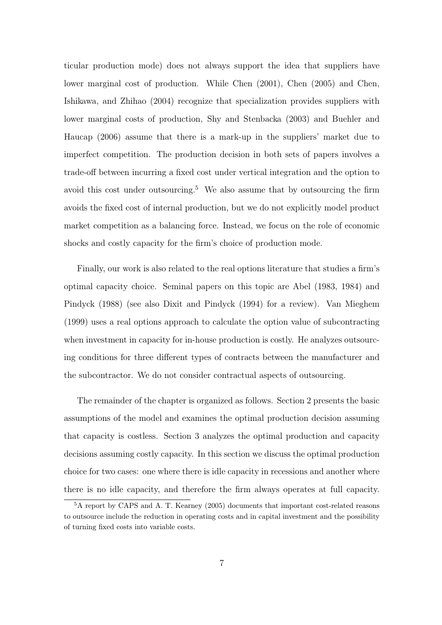ticular production mode) does not always support the idea that suppliers have lower marginal cost of production. While Chen (2001), Chen (2005) and Chen, Ishikawa, and Zhihao (2004) recognize that specialization provides suppliers with lower marginal costs of production, Shy and Stenbacka (2003) and Buehler and Haucap (2006) assume that there is a mark-up in the suppliers' market due to imperfect competition. The production decision in both sets of papers involves a trade-off between incurring a fixed cost under vertical integration and the option to avoid this cost under outsourcing.<sup>5</sup> We also assume that by outsourcing the firm avoids the fixed cost of internal production, but we do not explicitly model product market competition as a balancing force. Instead, we focus on the role of economic shocks and costly capacity for the firm's choice of production mode.

Finally, our work is also related to the real options literature that studies a firm's optimal capacity choice. Seminal papers on this topic are Abel (1983, 1984) and Pindyck (1988) (see also Dixit and Pindyck (1994) for a review). Van Mieghem (1999) uses a real options approach to calculate the option value of subcontracting when investment in capacity for in-house production is costly. He analyzes outsourcing conditions for three different types of contracts between the manufacturer and the subcontractor. We do not consider contractual aspects of outsourcing.

The remainder of the chapter is organized as follows. Section 2 presents the basic assumptions of the model and examines the optimal production decision assuming that capacity is costless. Section 3 analyzes the optimal production and capacity decisions assuming costly capacity. In this section we discuss the optimal production choice for two cases: one where there is idle capacity in recessions and another where there is no idle capacity, and therefore the firm always operates at full capacity.

<sup>5</sup>A report by CAPS and A. T. Kearney (2005) documents that important cost-related reasons to outsource include the reduction in operating costs and in capital investment and the possibility of turning fixed costs into variable costs.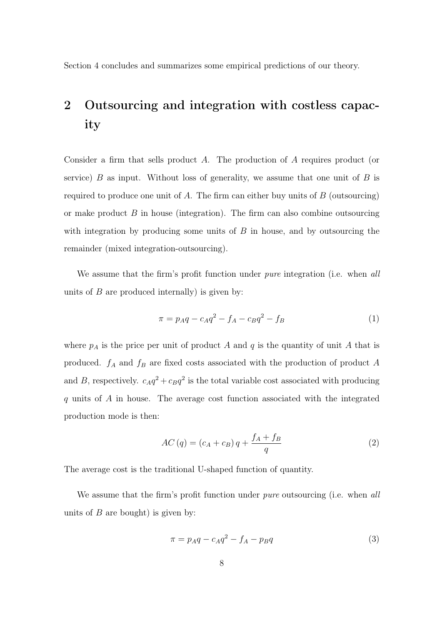Section 4 concludes and summarizes some empirical predictions of our theory.

# 2 Outsourcing and integration with costless capacity

Consider a firm that sells product A. The production of A requires product (or service)  $B$  as input. Without loss of generality, we assume that one unit of  $B$  is required to produce one unit of A. The firm can either buy units of  $B$  (outsourcing) or make product  $B$  in house (integration). The firm can also combine outsourcing with integration by producing some units of  $B$  in house, and by outsourcing the remainder (mixed integration-outsourcing).

We assume that the firm's profit function under *pure* integration (i.e. when all units of  $B$  are produced internally) is given by:

$$
\pi = p_A q - c_A q^2 - f_A - c_B q^2 - f_B \tag{1}
$$

where  $p_A$  is the price per unit of product A and q is the quantity of unit A that is produced.  $f_A$  and  $f_B$  are fixed costs associated with the production of product A and B, respectively.  $c_A q^2 + c_B q^2$  is the total variable cost associated with producing q units of A in house. The average cost function associated with the integrated production mode is then:

$$
AC(q) = (c_A + c_B)q + \frac{f_A + f_B}{q}
$$
\n<sup>(2)</sup>

The average cost is the traditional U-shaped function of quantity.

We assume that the firm's profit function under *pure* outsourcing (i.e. when all units of  $B$  are bought) is given by:

$$
\pi = p_A q - c_A q^2 - f_A - p_B q \tag{3}
$$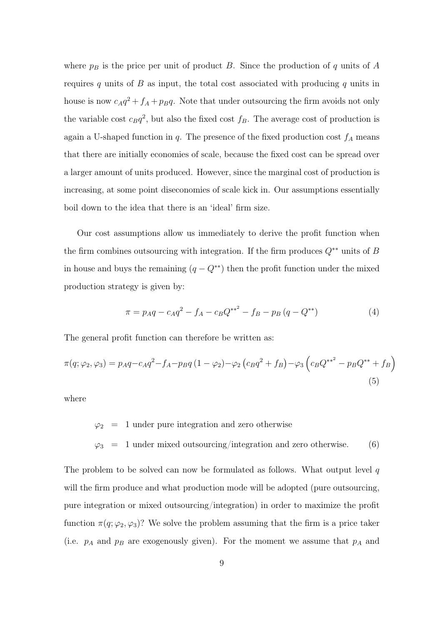where  $p_B$  is the price per unit of product B. Since the production of q units of A requires q units of B as input, the total cost associated with producing q units in house is now  $c_A q^2 + f_A + p_B q$ . Note that under outsourcing the firm avoids not only the variable cost  $c_Bq^2$ , but also the fixed cost  $f_B$ . The average cost of production is again a U-shaped function in  $q$ . The presence of the fixed production cost  $f_A$  means that there are initially economies of scale, because the fixed cost can be spread over a larger amount of units produced. However, since the marginal cost of production is increasing, at some point diseconomies of scale kick in. Our assumptions essentially boil down to the idea that there is an 'ideal' firm size.

Our cost assumptions allow us immediately to derive the profit function when the firm combines outsourcing with integration. If the firm produces  $Q^{**}$  units of B in house and buys the remaining  $(q - Q^{**})$  then the profit function under the mixed production strategy is given by:

$$
\pi = p_A q - c_A q^2 - f_A - c_B Q^{**^2} - f_B - p_B (q - Q^{**})
$$
\n(4)

The general profit function can therefore be written as:

$$
\pi(q; \varphi_2, \varphi_3) = p_A q - c_A q^2 - f_A - p_B q (1 - \varphi_2) - \varphi_2 (c_B q^2 + f_B) - \varphi_3 (c_B Q^{**^2} - p_B Q^{**} + f_B)
$$
\n(5)

where

$$
\varphi_2
$$
 = 1 under pure integration and zero otherwise  
\n $\varphi_3$  = 1 under mixed outsourcing/integration and zero otherwise. (6)

The problem to be solved can now be formulated as follows. What output level  $q$ will the firm produce and what production mode will be adopted (pure outsourcing, pure integration or mixed outsourcing/integration) in order to maximize the profit function  $\pi(q; \varphi_2, \varphi_3)$ ? We solve the problem assuming that the firm is a price taker (i.e.  $p_A$  and  $p_B$  are exogenously given). For the moment we assume that  $p_A$  and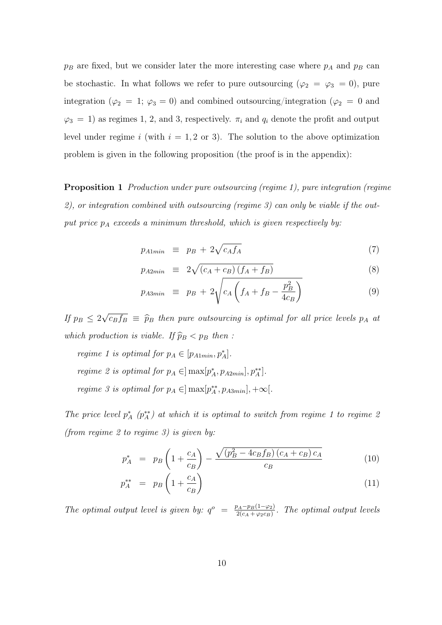$p_B$  are fixed, but we consider later the more interesting case where  $p_A$  and  $p_B$  can be stochastic. In what follows we refer to pure outsourcing ( $\varphi_2 = \varphi_3 = 0$ ), pure integration ( $\varphi_2 = 1$ ;  $\varphi_3 = 0$ ) and combined outsourcing/integration ( $\varphi_2 = 0$  and  $\varphi_3 = 1$ ) as regimes 1, 2, and 3, respectively.  $\pi_i$  and  $q_i$  denote the profit and output level under regime i (with  $i = 1, 2$  or 3). The solution to the above optimization problem is given in the following proposition (the proof is in the appendix):

Proposition 1 Production under pure outsourcing (regime 1), pure integration (regime 2), or integration combined with outsourcing (regime 3) can only be viable if the output price  $p_A$  exceeds a minimum threshold, which is given respectively by:

$$
p_{A1min} \equiv p_B + 2\sqrt{c_A f_A} \tag{7}
$$

$$
p_{A2min} \equiv 2\sqrt{(c_A + c_B)(f_A + f_B)}
$$
\n(8)

$$
p_{A3min} \equiv p_B + 2\sqrt{c_A \left(f_A + f_B - \frac{p_B^2}{4c_B}\right)} \tag{9}
$$

If  $p_B \leq 2$ √  $\overline{c_Bf_B} \equiv \widehat{p}_B$  then pure outsourcing is optimal for all price levels  $p_A$  at which production is viable. If  $\widehat{p}_B < p_B$  then :

regime 1 is optimal for  $p_A \in [p_{A1min}, p_A^*]$ . regime 2 is optimal for  $p_A \in ]\max[p_A^*, p_{A2min}], p_A^{**}].$ regime 3 is optimal for  $p_A \in ]\max[p_A^*, p_{A3min}]$ ,  $+\infty[$ .

The price level  $p_A^*$  ( $p_A^{**}$ ) at which it is optimal to switch from regime 1 to regime 2 (from regime 2 to regime 3) is given by:

$$
p_A^* = p_B \left( 1 + \frac{c_A}{c_B} \right) - \frac{\sqrt{(p_B^2 - 4c_B f_B)(c_A + c_B)c_A}}{c_B} \tag{10}
$$

$$
p_A^{**} = p_B \left( 1 + \frac{c_A}{c_B} \right) \tag{11}
$$

The optimal output level is given by:  $q^o = \frac{p_A - p_B(1 - \varphi_2)}{2(\alpha + \varphi_2 \varphi_1)}$  $\frac{\rho_A-p_B(1-\varphi_2)}{2(c_A+\varphi_2c_B)}$ . The optimal output levels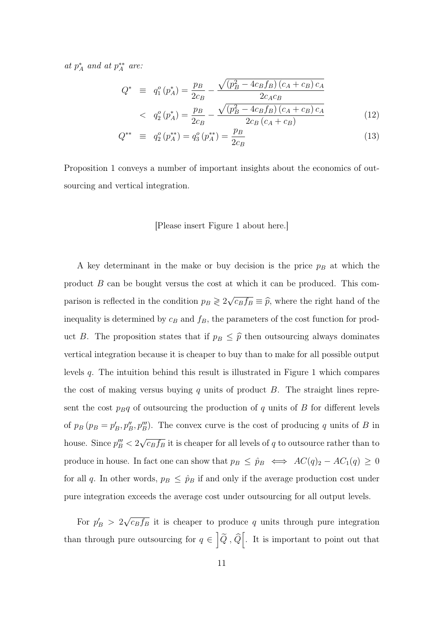at  $p_A^*$  and at  $p_A^{**}$  are:

$$
Q^* \equiv q_1^o(p_A^*) = \frac{p_B}{2c_B} - \frac{\sqrt{(p_B^2 - 4c_Bf_B)(c_A + c_B)c_A}}{2c_Ac_B}
$$
  
< 
$$
q_2^o(p_A^*) = \frac{p_B}{2c_B} - \frac{\sqrt{(p_B^2 - 4c_Bf_B)(c_A + c_B)c_A}}{2c_B(c_A + c_B)}
$$
(12)

$$
Q^{**} \equiv q_2^o(p_A^{**}) = q_3^o(p_A^{**}) = \frac{p_B}{2c_B} \tag{13}
$$

Proposition 1 conveys a number of important insights about the economics of outsourcing and vertical integration.

#### [Please insert Figure 1 about here.]

A key determinant in the make or buy decision is the price  $p_B$  at which the product B can be bought versus the cost at which it can be produced. This comparison is reflected in the condition  $p_B \geq 2\sqrt{ }$  $\overline{c_B f_B} \equiv \widehat{p}$ , where the right hand of the inequality is determined by  $c_B$  and  $f_B$ , the parameters of the cost function for product B. The proposition states that if  $p_B \leq \hat{p}$  then outsourcing always dominates vertical integration because it is cheaper to buy than to make for all possible output levels q. The intuition behind this result is illustrated in Figure 1 which compares the cost of making versus buying  $q$  units of product  $B$ . The straight lines represent the cost  $p_Bq$  of outsourcing the production of q units of B for different levels of  $p_B$  ( $p_B = p'_B, p''_B, p'''_B$ ). The convex curve is the cost of producing q units of B in house. Since  $p_B^{\prime\prime\prime} < 2$ √  $\overline{c_Bf_B}$  it is cheaper for all levels of q to outsource rather than to produce in house. In fact one can show that  $p_B \le \hat{p}_B \iff AC(q)_2 - AC_1(q) \ge 0$ for all q. In other words,  $p_B \leq \hat{p}_B$  if and only if the average production cost under pure integration exceeds the average cost under outsourcing for all output levels.

For  $p'_B > 2$ √  $\overline{c_Bf_B}$  it is cheaper to produce q units through pure integration than through pure outsourcing for  $q \in \left[ \tilde{Q}, \hat{Q} \right[$ . It is important to point out that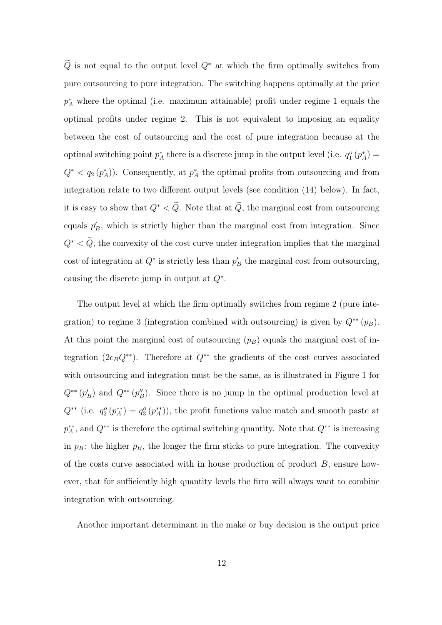$\tilde{Q}$  is not equal to the output level  $Q^*$  at which the firm optimally switches from pure outsourcing to pure integration. The switching happens optimally at the price  $p_A^*$  where the optimal (i.e. maximum attainable) profit under regime 1 equals the optimal profits under regime 2. This is not equivalent to imposing an equality between the cost of outsourcing and the cost of pure integration because at the optimal switching point  $p_A^*$  there is a discrete jump in the output level (i.e.  $q_1^o(p_A^*)$ )  $Q^* < q_2(p_A^*)$ . Consequently, at  $p_A^*$  the optimal profits from outsourcing and from integration relate to two different output levels (see condition (14) below). In fact, it is easy to show that  $Q^* < \tilde{Q}$ . Note that at  $\tilde{Q}$ , the marginal cost from outsourcing equals  $p'_B$ , which is strictly higher than the marginal cost from integration. Since  $Q^* < \tilde{Q}$ , the convexity of the cost curve under integration implies that the marginal cost of integration at  $Q^*$  is strictly less than  $p'_B$  the marginal cost from outsourcing, causing the discrete jump in output at  $Q^*$ .

The output level at which the firm optimally switches from regime 2 (pure integration) to regime 3 (integration combined with outsourcing) is given by  $Q^{**}(p_B)$ . At this point the marginal cost of outsourcing  $(p_B)$  equals the marginal cost of integration (2c<sub>B</sub>Q<sup>\*\*</sup>). Therefore at  $Q^{**}$  the gradients of the cost curves associated with outsourcing and integration must be the same, as is illustrated in Figure 1 for  $Q^{**}(p'_B)$  and  $Q^{**}(p''_B)$ . Since there is no jump in the optimal production level at  $Q^{**}$  (i.e.  $q_2^o(p_A^{**}) = q_3^o(p_A^{**})$ ), the profit functions value match and smooth paste at  $p_A^{**}$ , and  $Q^{**}$  is therefore the optimal switching quantity. Note that  $Q^{**}$  is increasing in  $p_B$ : the higher  $p_B$ , the longer the firm sticks to pure integration. The convexity of the costs curve associated with in house production of product  $B$ , ensure however, that for sufficiently high quantity levels the firm will always want to combine integration with outsourcing.

Another important determinant in the make or buy decision is the output price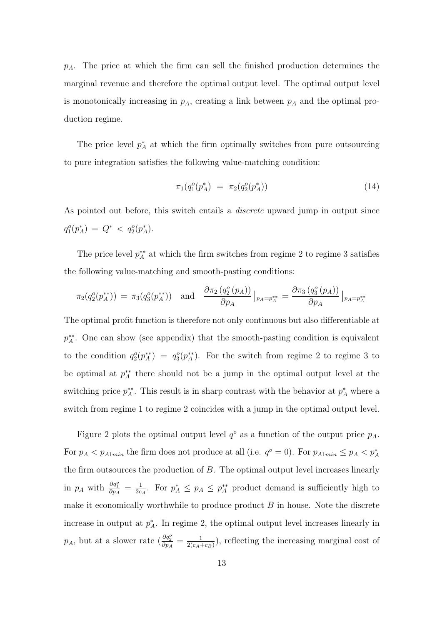$p_A$ . The price at which the firm can sell the finished production determines the marginal revenue and therefore the optimal output level. The optimal output level is monotonically increasing in  $p_A$ , creating a link between  $p_A$  and the optimal production regime.

The price level  $p_A^*$  at which the firm optimally switches from pure outsourcing to pure integration satisfies the following value-matching condition:

$$
\pi_1(q_1^o(p_A^*) = \pi_2(q_2^o(p_A^*)) \tag{14}
$$

As pointed out before, this switch entails a *discrete* upward jump in output since  $q_1^o(p_A^*) = Q^* < q_2^o(p_A^*)$ .

The price level  $p_A^{**}$  at which the firm switches from regime 2 to regime 3 satisfies the following value-matching and smooth-pasting conditions:

$$
\pi_2(q_2^o(p_A^{**})) = \pi_3(q_3^o(p_A^{**})) \text{ and } \frac{\partial \pi_2(q_2^o(p_A))}{\partial p_A}|_{p_A = p_A^{**}} = \frac{\partial \pi_3(q_3^o(p_A))}{\partial p_A}|_{p_A = p_A^{**}}
$$

The optimal profit function is therefore not only continuous but also differentiable at p<sup>\*\*</sup>. One can show (see appendix) that the smooth-pasting condition is equivalent to the condition  $q_2^o(p_A^{**}) = q_3^o(p_A^{**})$ . For the switch from regime 2 to regime 3 to be optimal at  $p_A^{**}$  there should not be a jump in the optimal output level at the switching price  $p_A^{**}$ . This result is in sharp contrast with the behavior at  $p_A^*$  where a switch from regime 1 to regime 2 coincides with a jump in the optimal output level.

Figure 2 plots the optimal output level  $q^o$  as a function of the output price  $p_A$ . For  $p_A < p_{A1min}$  the firm does not produce at all (i.e.  $q^o = 0$ ). For  $p_{A1min} \le p_A < p_A^*$ the firm outsources the production of B. The optimal output level increases linearly in  $p_A$  with  $\frac{\partial q_1^o}{\partial p_A} = \frac{1}{2c}$  $\frac{1}{2c_A}$ . For  $p_A^* \leq p_A \leq p_A^{**}$  product demand is sufficiently high to make it economically worthwhile to produce product  $B$  in house. Note the discrete increase in output at  $p_A^*$ . In regime 2, the optimal output level increases linearly in  $p_A$ , but at a slower rate  $\left(\frac{\partial q_2^o}{\partial p_A} - \frac{1}{2(c_A - 1)}\right)$  $\frac{1}{2(c_A+c_B)}$ , reflecting the increasing marginal cost of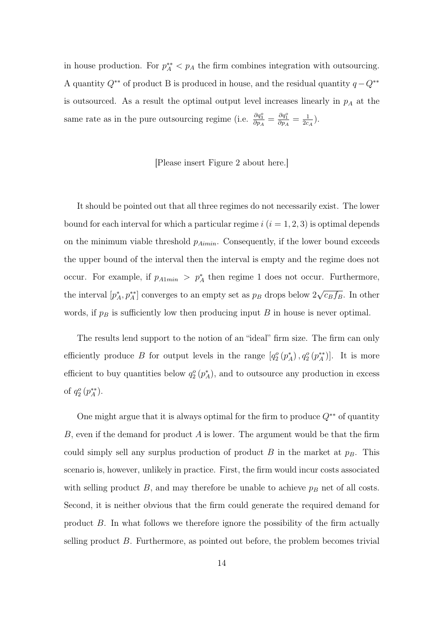in house production. For  $p_A^* < p_A$  the firm combines integration with outsourcing. A quantity  $Q^{**}$  of product B is produced in house, and the residual quantity  $q - Q^{**}$ is outsourced. As a result the optimal output level increases linearly in  $p_A$  at the same rate as in the pure outsourcing regime (i.e.  $\frac{\partial q_3^o}{\partial p_A} = \frac{\partial q_1^o}{\partial p_A} = \frac{1}{2c}$  $\frac{1}{2c_A}$ ).

#### [Please insert Figure 2 about here.]

It should be pointed out that all three regimes do not necessarily exist. The lower bound for each interval for which a particular regime  $i$   $(i = 1, 2, 3)$  is optimal depends on the minimum viable threshold  $p_{Aimin}$ . Consequently, if the lower bound exceeds the upper bound of the interval then the interval is empty and the regime does not occur. For example, if  $p_{A1min} > p_A^*$  then regime 1 does not occur. Furthermore, the interval  $[p_A^*, p_A^{**}]$  converges to an empty set as  $p_B$  drops below 2 √  $\overline{c_B f_B}$ . In other words, if  $p_B$  is sufficiently low then producing input B in house is never optimal.

The results lend support to the notion of an "ideal" firm size. The firm can only efficiently produce B for output levels in the range  $[q_2^o(p_A^*), q_2^o(p_A^{**})]$ . It is more efficient to buy quantities below  $q_2^o(p_A^*)$ , and to outsource any production in excess of  $q_2^o(p_A^{**})$ .

One might argue that it is always optimal for the firm to produce  $Q^{**}$  of quantity B, even if the demand for product A is lower. The argument would be that the firm could simply sell any surplus production of product  $B$  in the market at  $p_B$ . This scenario is, however, unlikely in practice. First, the firm would incur costs associated with selling product  $B$ , and may therefore be unable to achieve  $p_B$  net of all costs. Second, it is neither obvious that the firm could generate the required demand for product B. In what follows we therefore ignore the possibility of the firm actually selling product  $B$ . Furthermore, as pointed out before, the problem becomes trivial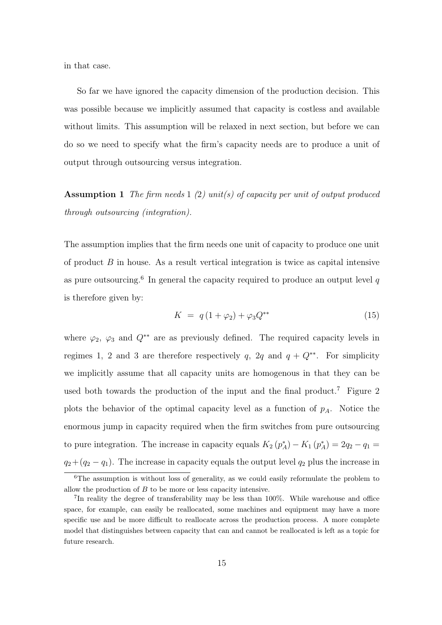in that case.

So far we have ignored the capacity dimension of the production decision. This was possible because we implicitly assumed that capacity is costless and available without limits. This assumption will be relaxed in next section, but before we can do so we need to specify what the firm's capacity needs are to produce a unit of output through outsourcing versus integration.

**Assumption 1** The firm needs  $1(2)$  unit(s) of capacity per unit of output produced through outsourcing (integration).

The assumption implies that the firm needs one unit of capacity to produce one unit of product  $B$  in house. As a result vertical integration is twice as capital intensive as pure outsourcing.<sup>6</sup> In general the capacity required to produce an output level  $q$ is therefore given by:

$$
K = q(1 + \varphi_2) + \varphi_3 Q^{**}
$$
 (15)

where  $\varphi_2$ ,  $\varphi_3$  and  $Q^{**}$  are as previously defined. The required capacity levels in regimes 1, 2 and 3 are therefore respectively q, 2q and  $q + Q^{**}$ . For simplicity we implicitly assume that all capacity units are homogenous in that they can be used both towards the production of the input and the final product.<sup>7</sup> Figure 2 plots the behavior of the optimal capacity level as a function of  $p_A$ . Notice the enormous jump in capacity required when the firm switches from pure outsourcing to pure integration. The increase in capacity equals  $K_2(p_A^*) - K_1(p_A^*) = 2q_2 - q_1 =$  $q_2+(q_2-q_1)$ . The increase in capacity equals the output level  $q_2$  plus the increase in

 $6$ The assumption is without loss of generality, as we could easily reformulate the problem to allow the production of B to be more or less capacity intensive.

<sup>&</sup>lt;sup>7</sup>In reality the degree of transferability may be less than 100%. While warehouse and office space, for example, can easily be reallocated, some machines and equipment may have a more specific use and be more difficult to reallocate across the production process. A more complete model that distinguishes between capacity that can and cannot be reallocated is left as a topic for future research.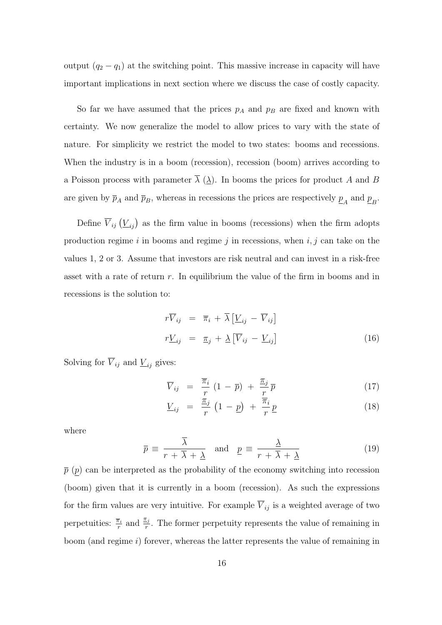output  $(q_2 - q_1)$  at the switching point. This massive increase in capacity will have important implications in next section where we discuss the case of costly capacity.

So far we have assumed that the prices  $p_A$  and  $p_B$  are fixed and known with certainty. We now generalize the model to allow prices to vary with the state of nature. For simplicity we restrict the model to two states: booms and recessions. When the industry is in a boom (recession), recession (boom) arrives according to a Poisson process with parameter  $\overline{\lambda}$  ( $\lambda$ ). In booms the prices for product A and B are given by  $\overline{p}_A$  and  $\overline{p}_B$ , whereas in recessions the prices are respectively  $\underline{p}_A$  and  $\underline{p}_B$ .

Define  $\overline{V}_{ij}(\underline{V}_{ij})$  as the firm value in booms (recessions) when the firm adopts production regime  $i$  in booms and regime  $j$  in recessions, when  $i, j$  can take on the values 1, 2 or 3. Assume that investors are risk neutral and can invest in a risk-free asset with a rate of return  $r$ . In equilibrium the value of the firm in booms and in recessions is the solution to:

$$
r\overline{V}_{ij} = \overline{\pi}_i + \overline{\lambda} \left[ \underline{V}_{ij} - \overline{V}_{ij} \right]
$$
  

$$
r\underline{V}_{ij} = \underline{\pi}_j + \underline{\lambda} \left[ \overline{V}_{ij} - \underline{V}_{ij} \right]
$$
 (16)

Solving for  $\overline{V}_{ij}$  and  $\underline{V}_{ij}$  gives:

$$
\overline{V}_{ij} = \frac{\overline{\pi}_i}{r} (1 - \overline{p}) + \frac{\underline{\pi}_j}{r} \overline{p}
$$
 (17)

$$
\underline{V}_{ij} = \frac{\pi_j}{r} \left( 1 - \underline{p} \right) + \frac{\overline{\pi}_i}{r} \underline{p} \tag{18}
$$

where

$$
\overline{p} \equiv \frac{\overline{\lambda}}{r + \overline{\lambda} + \underline{\lambda}} \quad \text{and} \quad \underline{p} \equiv \frac{\underline{\lambda}}{r + \overline{\lambda} + \underline{\lambda}} \tag{19}
$$

 $\bar{p}$  (p) can be interpreted as the probability of the economy switching into recession (boom) given that it is currently in a boom (recession). As such the expressions for the firm values are very intuitive. For example  $\overline{V}_{ij}$  is a weighted average of two perpetuities:  $\frac{\overline{\pi}_i}{r}$  and  $\frac{\pi_j}{r}$ . The former perpetuity represents the value of remaining in boom (and regime  $i$ ) forever, whereas the latter represents the value of remaining in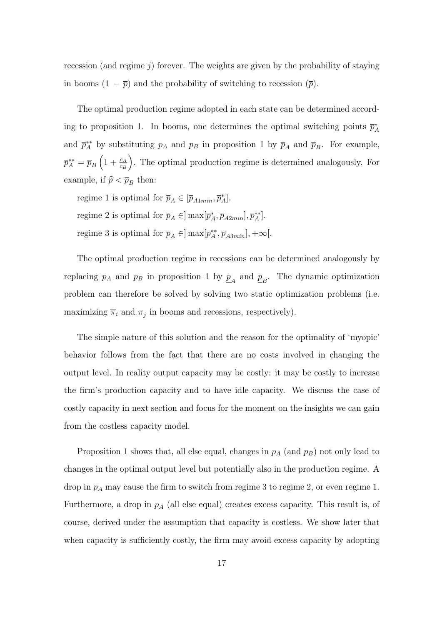recession (and regime  $j$ ) forever. The weights are given by the probability of staying in booms  $(1 - \overline{p})$  and the probability of switching to recession  $(\overline{p})$ .

The optimal production regime adopted in each state can be determined according to proposition 1. In booms, one determines the optimal switching points  $\bar{p}_A^*$ and  $\bar{p}_A^{**}$  by substituting  $p_A$  and  $p_B$  in proposition 1 by  $\bar{p}_A$  and  $\bar{p}_B$ . For example,  $\overline{p}_{A}^{**}=\overline{p}_{B}\left( 1+\frac{c_{A}}{c_{B}}\right)$  . The optimal production regime is determined analogously. For example, if  $\hat{p} < \overline{p}_B$  then:

regime 1 is optimal for  $\overline{p}_A \in [\overline{p}_{A1min}, \overline{p}_A^*].$ regime 2 is optimal for  $\overline{p}_A \in ]\max[\overline{p}_A^*, \overline{p}_{A2min}], \overline{p}_A^{**}].$ regime 3 is optimal for  $\overline{p}_A \in ]\max[\overline{p}_A^{**}, \overline{p}_{A3min}]$ ,  $+\infty[$ .

The optimal production regime in recessions can be determined analogously by replacing  $p_A$  and  $p_B$  in proposition 1 by  $\underline{p}_A$  and  $\underline{p}_B$ . The dynamic optimization problem can therefore be solved by solving two static optimization problems (i.e. maximizing  $\overline{\pi}_i$  and  $\underline{\pi}_j$  in booms and recessions, respectively).

The simple nature of this solution and the reason for the optimality of 'myopic' behavior follows from the fact that there are no costs involved in changing the output level. In reality output capacity may be costly: it may be costly to increase the firm's production capacity and to have idle capacity. We discuss the case of costly capacity in next section and focus for the moment on the insights we can gain from the costless capacity model.

Proposition 1 shows that, all else equal, changes in  $p_A$  (and  $p_B$ ) not only lead to changes in the optimal output level but potentially also in the production regime. A drop in  $p_A$  may cause the firm to switch from regime 3 to regime 2, or even regime 1. Furthermore, a drop in  $p_A$  (all else equal) creates excess capacity. This result is, of course, derived under the assumption that capacity is costless. We show later that when capacity is sufficiently costly, the firm may avoid excess capacity by adopting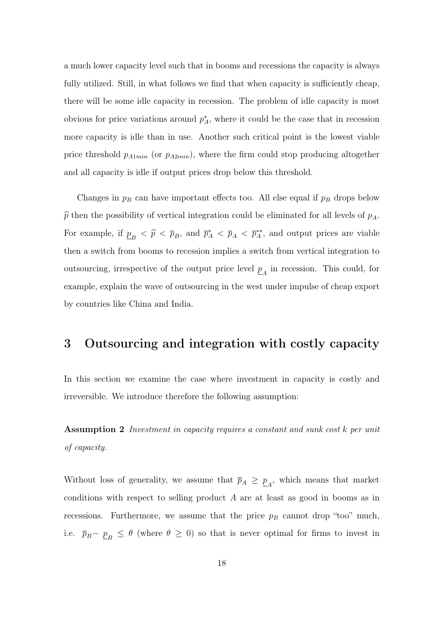a much lower capacity level such that in booms and recessions the capacity is always fully utilized. Still, in what follows we find that when capacity is sufficiently cheap, there will be some idle capacity in recession. The problem of idle capacity is most obvious for price variations around  $p_A^*$ , where it could be the case that in recession more capacity is idle than in use. Another such critical point is the lowest viable price threshold  $p_{A1min}$  (or  $p_{A2min}$ ), where the firm could stop producing altogether and all capacity is idle if output prices drop below this threshold.

Changes in  $p_B$  can have important effects too. All else equal if  $p_B$  drops below  $\hat{p}$  then the possibility of vertical integration could be eliminated for all levels of  $p_A$ . For example, if  $\underline{p}_B < \hat{p} < \overline{p}_B$ , and  $\overline{p}_A^* < \overline{p}_A < \overline{p}_A^{**}$ , and output prices are viable then a switch from booms to recession implies a switch from vertical integration to outsourcing, irrespective of the output price level  $\underline{p}_A$  in recession. This could, for example, explain the wave of outsourcing in the west under impulse of cheap export by countries like China and India.

### 3 Outsourcing and integration with costly capacity

In this section we examine the case where investment in capacity is costly and irreversible. We introduce therefore the following assumption:

Assumption 2 Investment in capacity requires a constant and sunk cost k per unit of capacity.

Without loss of generality, we assume that  $\bar{p}_A \geq \underline{p}_A$ , which means that market conditions with respect to selling product A are at least as good in booms as in recessions. Furthermore, we assume that the price  $p_B$  cannot drop "too" much, i.e.  $\bar{p}_B - \underline{p}_B \leq \theta$  (where  $\theta \geq 0$ ) so that is never optimal for firms to invest in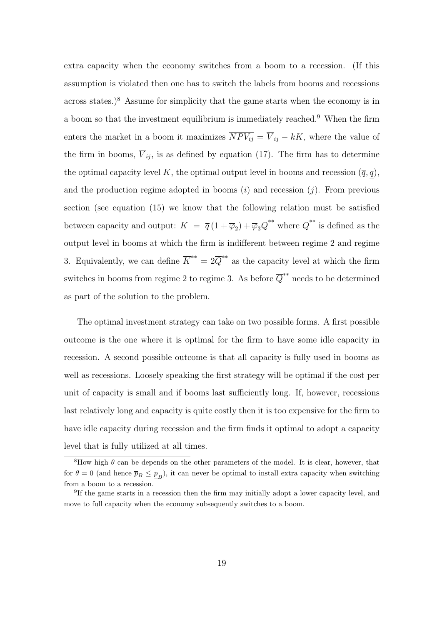extra capacity when the economy switches from a boom to a recession. (If this assumption is violated then one has to switch the labels from booms and recessions across states.)<sup>8</sup> Assume for simplicity that the game starts when the economy is in a boom so that the investment equilibrium is immediately reached.<sup>9</sup> When the firm enters the market in a boom it maximizes  $\overline{NPV_{ij}} = \overline{V}_{ij} - kK$ , where the value of the firm in booms,  $\overline{V}_{ij}$ , is as defined by equation (17). The firm has to determine the optimal capacity level K, the optimal output level in booms and recession  $(\bar{q}, q)$ , and the production regime adopted in booms  $(i)$  and recession  $(j)$ . From previous section (see equation (15) we know that the following relation must be satisfied between capacity and output:  $K = \overline{q}(1 + \overline{\varphi}_2) + \overline{\varphi}_3 \overline{Q}^{**}$  where  $\overline{Q}^{**}$  is defined as the output level in booms at which the firm is indifferent between regime 2 and regime 3. Equivalently, we can define  $\overline{K}^{**} = 2\overline{Q}^{**}$  as the capacity level at which the firm switches in booms from regime 2 to regime 3. As before  $\overline{Q}^{**}$  needs to be determined as part of the solution to the problem.

The optimal investment strategy can take on two possible forms. A first possible outcome is the one where it is optimal for the firm to have some idle capacity in recession. A second possible outcome is that all capacity is fully used in booms as well as recessions. Loosely speaking the first strategy will be optimal if the cost per unit of capacity is small and if booms last sufficiently long. If, however, recessions last relatively long and capacity is quite costly then it is too expensive for the firm to have idle capacity during recession and the firm finds it optimal to adopt a capacity level that is fully utilized at all times.

 $8$ How high  $\theta$  can be depends on the other parameters of the model. It is clear, however, that for  $\theta = 0$  (and hence  $\bar{p}_B \leq \underline{p}_B$ ), it can never be optimal to install extra capacity when switching from a boom to a recession.

<sup>&</sup>lt;sup>9</sup>If the game starts in a recession then the firm may initially adopt a lower capacity level, and move to full capacity when the economy subsequently switches to a boom.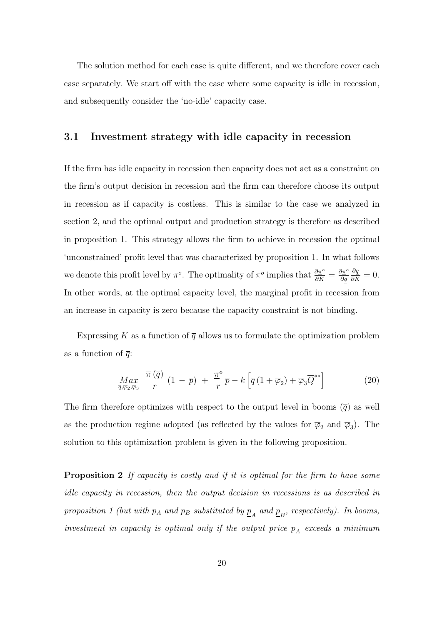The solution method for each case is quite different, and we therefore cover each case separately. We start off with the case where some capacity is idle in recession, and subsequently consider the 'no-idle' capacity case.

#### 3.1 Investment strategy with idle capacity in recession

If the firm has idle capacity in recession then capacity does not act as a constraint on the firm's output decision in recession and the firm can therefore choose its output in recession as if capacity is costless. This is similar to the case we analyzed in section 2, and the optimal output and production strategy is therefore as described in proposition 1. This strategy allows the firm to achieve in recession the optimal 'unconstrained' profit level that was characterized by proposition 1. In what follows we denote this profit level by  $\underline{\pi}^o$ . The optimality of  $\underline{\pi}^o$  implies that  $\frac{\partial \pi^o}{\partial K} = \frac{\partial \pi^o}{\partial q}$ ∂q  $\frac{\partial q}{\partial K} = 0.$ In other words, at the optimal capacity level, the marginal profit in recession from an increase in capacity is zero because the capacity constraint is not binding.

Expressing K as a function of  $\overline{q}$  allows us to formulate the optimization problem as a function of  $\overline{a}$ :

$$
\underset{\overline{q},\overline{\varphi}_{2},\overline{\varphi}_{3}}{\text{Max}} \quad \frac{\overline{\pi}(\overline{q})}{r} \left(1-\overline{p}\right) + \frac{\underline{\pi}^{o}}{r} \overline{p} - k \left[\overline{q} \left(1+\overline{\varphi}_{2}\right) + \overline{\varphi}_{3} \overline{Q}^{**}\right] \tag{20}
$$

The firm therefore optimizes with respect to the output level in booms  $(\bar{q})$  as well as the production regime adopted (as reflected by the values for  $\overline{\varphi}_2$  and  $\overline{\varphi}_3$ ). The solution to this optimization problem is given in the following proposition.

Proposition 2 If capacity is costly and if it is optimal for the firm to have some idle capacity in recession, then the output decision in recessions is as described in proposition 1 (but with  $p_A$  and  $p_B$  substituted by  $\underline{p}_A$  and  $\underline{p}_B$ , respectively). In booms, investment in capacity is optimal only if the output price  $\bar{p}_A$  exceeds a minimum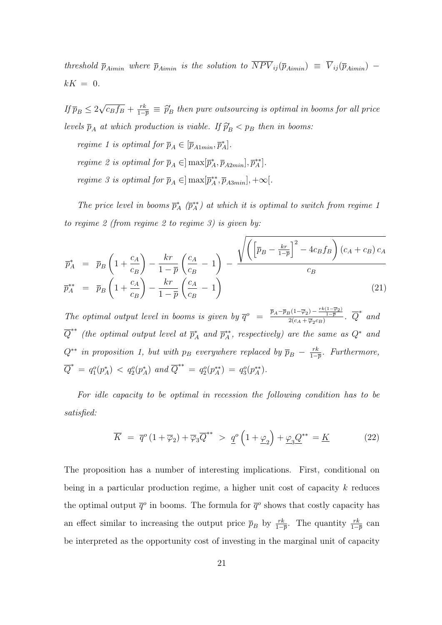threshold  $\bar{p}_{Aimin}$  where  $\bar{p}_{Aimin}$  is the solution to  $\overline{NPV}_{ij}(\bar{p}_{Aimin}) = \overline{V}_{ij}(\bar{p}_{Aimin})$  $kK = 0$ .

If  $\overline{p}_B \leq 2$ √  $\overline{c_B f_B} + \frac{rk}{1-r}$  $\frac{rk}{1-p} \equiv \hat{p}_B'$  then pure outsourcing is optimal in booms for all price levels  $\bar{p}_A$  at which production is viable. If  $\hat{p}'_B < p_B$  then in booms:

regime 1 is optimal for  $\overline{p}_A \in [\overline{p}_{A1min}, \overline{p}_A^*]$ .

regime 2 is optimal for  $\overline{p}_A \in ]\max[\overline{p}_A^*, \overline{p}_{A2min}], \overline{p}_A^{**}].$ 

*regime 3 is optimal for*  $\overline{p}_A \in ]\max[\overline{p}_A^{**}, \overline{p}_{A3min}], +\infty[$ .

The price level in booms  $\bar{p}_A^*$  ( $\bar{p}_A^{**}$ ) at which it is optimal to switch from regime 1 to regime 2 (from regime 2 to regime 3) is given by:

$$
\overline{p}_{A}^{*} = \overline{p}_{B} \left( 1 + \frac{c_{A}}{c_{B}} \right) - \frac{kr}{1 - \overline{p}} \left( \frac{c_{A}}{c_{B}} - 1 \right) - \frac{\sqrt{\left( \left[ \overline{p}_{B} - \frac{kr}{1 - \overline{p}} \right]^{2} - 4c_{B}f_{B} \right) (c_{A} + c_{B}) c_{A}}}{c_{B}}
$$
\n
$$
\overline{p}_{A}^{**} = \overline{p}_{B} \left( 1 + \frac{c_{A}}{c_{B}} \right) - \frac{kr}{1 - \overline{p}} \left( \frac{c_{A}}{c_{B}} - 1 \right)
$$
\n(21)

The optimal output level in booms is given by  $\overline{q}^o = \frac{\overline{p}_A - \overline{p}_B(1-\overline{\varphi}_2) - \frac{rk(1-\overline{\varphi}_2)}{1-\overline{p}}}{2(c_A + \overline{\varphi}_2 c_B)}$ .  $\overline{Q}^*$  and  $\overline{Q}^{**}$  (the optimal output level at  $\overline{p}_A^*$  and  $\overline{p}_A^{**}$ , respectively) are the same as  $Q^*$  and  $Q^{**}$  in proposition 1, but with  $p_B$  everywhere replaced by  $\overline{p}_B - \frac{rk}{1-k}$  $\frac{rk}{1-p}$ . Furthermore,  $\overline{Q}^* = q_1^o(p_A^*) \, <\, q_2^o(p_A^*) \,$  and  $\overline{Q}^{**} = q_2^o(p_A^{**}) = q_3^o(p_A^{**})$ .

For idle capacity to be optimal in recession the following condition has to be satisfied:

$$
\overline{K} = \overline{q}^{o} (1 + \overline{\varphi}_{2}) + \overline{\varphi}_{3} \overline{Q}^{**} > \underline{q}^{o} \left( 1 + \underline{\varphi}_{2} \right) + \underline{\varphi}_{3} \underline{Q}^{**} = \underline{K}
$$
\n(22)

The proposition has a number of interesting implications. First, conditional on being in a particular production regime, a higher unit cost of capacity  $k$  reduces the optimal output  $\bar{q}^o$  in booms. The formula for  $\bar{q}^o$  shows that costly capacity has an effect similar to increasing the output price  $\bar{p}_B$  by  $\frac{rk}{1-\bar{p}}$ . The quantity  $\frac{rk}{1-\bar{p}}$  can be interpreted as the opportunity cost of investing in the marginal unit of capacity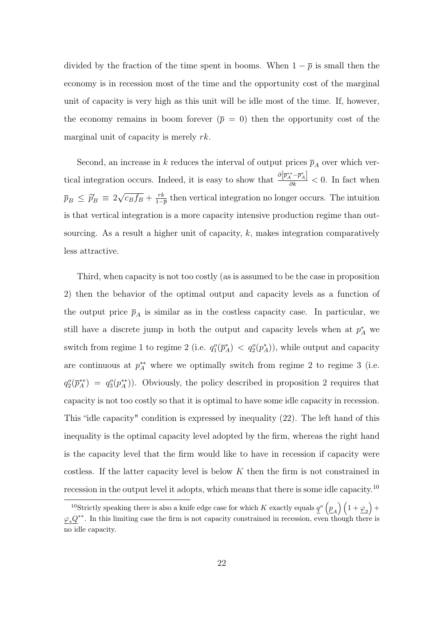divided by the fraction of the time spent in booms. When  $1 - \bar{p}$  is small then the economy is in recession most of the time and the opportunity cost of the marginal unit of capacity is very high as this unit will be idle most of the time. If, however, the economy remains in boom forever  $(\bar{p} = 0)$  then the opportunity cost of the marginal unit of capacity is merely rk.

Second, an increase in k reduces the interval of output prices  $\overline{p}_A$  over which vertical integration occurs. Indeed, it is easy to show that  $\frac{\partial \overline{p_A^{**} - p_A^*}}{\partial k} < 0$ . In fact when  $\overline{p}_B \leq \widehat{p}'_B \equiv 2$ √  $\overline{c_B f_B} + \frac{rk}{1-r}$  $\frac{rk}{1-p}$  then vertical integration no longer occurs. The intuition is that vertical integration is a more capacity intensive production regime than outsourcing. As a result a higher unit of capacity,  $k$ , makes integration comparatively less attractive.

Third, when capacity is not too costly (as is assumed to be the case in proposition 2) then the behavior of the optimal output and capacity levels as a function of the output price  $\bar{p}_A$  is similar as in the costless capacity case. In particular, we still have a discrete jump in both the output and capacity levels when at  $p_A^*$  we switch from regime 1 to regime 2 (i.e.  $q_1^o(\bar{p}_A^*) < q_2^o(p_A^*)$ ), while output and capacity are continuous at  $p_A^{**}$  where we optimally switch from regime 2 to regime 3 (i.e.  $q_2^o(\overline{p}_A^{**}) = q_3^o(p_A^{**})$ . Obviously, the policy described in proposition 2 requires that capacity is not too costly so that it is optimal to have some idle capacity in recession. This "idle capacity" condition is expressed by inequality (22). The left hand of this inequality is the optimal capacity level adopted by the firm, whereas the right hand is the capacity level that the firm would like to have in recession if capacity were costless. If the latter capacity level is below K then the firm is not constrained in recession in the output level it adopts, which means that there is some idle capacity.<sup>10</sup>

<sup>&</sup>lt;sup>10</sup>Strictly speaking there is also a knife edge case for which K exactly equals  $\underline{q}^o \left(\underline{p}_A\right) \left(1 + \underline{\varphi}_2\right) +$  $\mathcal{L}_3 Q^{**}$ . In this limiting case the firm is not capacity constrained in recession, even though there is no idle capacity.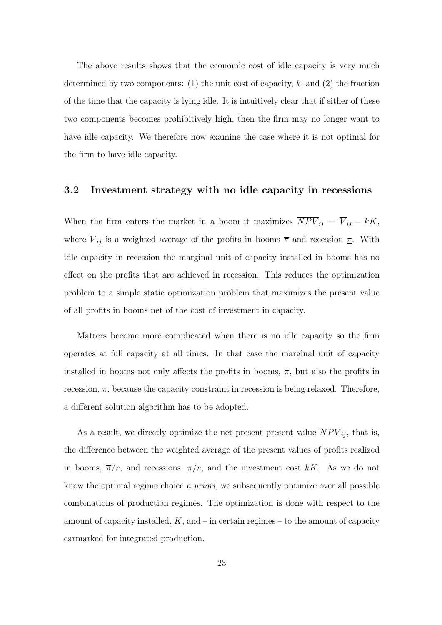The above results shows that the economic cost of idle capacity is very much determined by two components: (1) the unit cost of capacity,  $k$ , and (2) the fraction of the time that the capacity is lying idle. It is intuitively clear that if either of these two components becomes prohibitively high, then the firm may no longer want to have idle capacity. We therefore now examine the case where it is not optimal for the firm to have idle capacity.

#### 3.2 Investment strategy with no idle capacity in recessions

When the firm enters the market in a boom it maximizes  $\overline{NPV}_{ij} = \overline{V}_{ij} - kK$ , where  $\overline{V}_{ij}$  is a weighted average of the profits in booms  $\overline{\pi}$  and recession  $\underline{\pi}$ . With idle capacity in recession the marginal unit of capacity installed in booms has no effect on the profits that are achieved in recession. This reduces the optimization problem to a simple static optimization problem that maximizes the present value of all profits in booms net of the cost of investment in capacity.

Matters become more complicated when there is no idle capacity so the firm operates at full capacity at all times. In that case the marginal unit of capacity installed in booms not only affects the profits in booms,  $\overline{\pi}$ , but also the profits in recession,  $\underline{\pi}$ , because the capacity constraint in recession is being relaxed. Therefore, a different solution algorithm has to be adopted.

As a result, we directly optimize the net present present value  $\overline{NPV}_{ij}$ , that is, the difference between the weighted average of the present values of profits realized in booms,  $\overline{\pi}/r$ , and recessions,  $\underline{\pi}/r$ , and the investment cost kK. As we do not know the optimal regime choice a priori, we subsequently optimize over all possible combinations of production regimes. The optimization is done with respect to the amount of capacity installed,  $K$ , and  $-$  in certain regimes  $-$  to the amount of capacity earmarked for integrated production.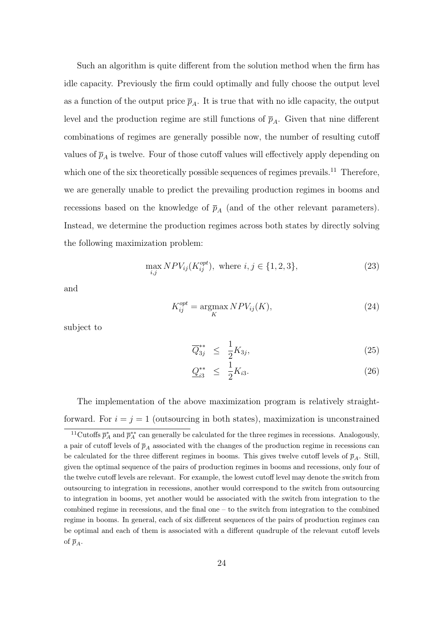Such an algorithm is quite different from the solution method when the firm has idle capacity. Previously the firm could optimally and fully choose the output level as a function of the output price  $\bar{p}_A$ . It is true that with no idle capacity, the output level and the production regime are still functions of  $\bar{p}_A$ . Given that nine different combinations of regimes are generally possible now, the number of resulting cutoff values of  $\bar{p}_A$  is twelve. Four of those cutoff values will effectively apply depending on which one of the six theoretically possible sequences of regimes prevails.<sup>11</sup> Therefore, we are generally unable to predict the prevailing production regimes in booms and recessions based on the knowledge of  $\bar{p}_A$  (and of the other relevant parameters). Instead, we determine the production regimes across both states by directly solving the following maximization problem:

$$
\max_{i,j} NPV_{ij}(K_{ij}^{opt}), \text{ where } i, j \in \{1, 2, 3\},\tag{23}
$$

and

$$
K_{ij}^{opt} = \underset{K}{\text{argmax}} N P V_{ij}(K),\tag{24}
$$

subject to

$$
\overline{Q}_{3j}^{**} \leq \frac{1}{2} K_{3j}, \tag{25}
$$

$$
\underline{Q}_{i3}^{**} \leq \frac{1}{2}K_{i3}.\tag{26}
$$

The implementation of the above maximization program is relatively straightforward. For  $i = j = 1$  (outsourcing in both states), maximization is unconstrained

<sup>&</sup>lt;sup>11</sup>Cutoffs  $\bar{p}_A^*$  and  $\bar{p}_A^{**}$  can generally be calculated for the three regimes in recessions. Analogously, a pair of cutoff levels of  $\bar{p}_A$  associated with the changes of the production regime in recessions can be calculated for the three different regimes in booms. This gives twelve cutoff levels of  $\bar{p}_A$ . Still, given the optimal sequence of the pairs of production regimes in booms and recessions, only four of the twelve cutoff levels are relevant. For example, the lowest cutoff level may denote the switch from outsourcing to integration in recessions, another would correspond to the switch from outsourcing to integration in booms, yet another would be associated with the switch from integration to the combined regime in recessions, and the final one – to the switch from integration to the combined regime in booms. In general, each of six different sequences of the pairs of production regimes can be optimal and each of them is associated with a different quadruple of the relevant cutoff levels of  $\bar{p}_A$ .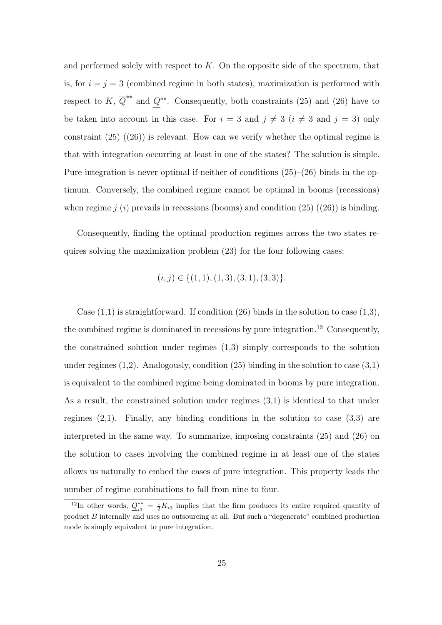and performed solely with respect to  $K$ . On the opposite side of the spectrum, that is, for  $i = j = 3$  (combined regime in both states), maximization is performed with respect to K,  $\overline{Q}^{**}$  and  $Q^{**}$ . Consequently, both constraints (25) and (26) have to be taken into account in this case. For  $i = 3$  and  $j \neq 3$   $(i \neq 3$  and  $j = 3)$  only constraint  $(25)$   $((26))$  is relevant. How can we verify whether the optimal regime is that with integration occurring at least in one of the states? The solution is simple. Pure integration is never optimal if neither of conditions (25)–(26) binds in the optimum. Conversely, the combined regime cannot be optimal in booms (recessions) when regime  $j(i)$  prevails in recessions (booms) and condition (25) ((26)) is binding.

Consequently, finding the optimal production regimes across the two states requires solving the maximization problem (23) for the four following cases:

$$
(i,j) \in \{(1,1), (1,3), (3,1), (3,3)\}.
$$

Case  $(1,1)$  is straightforward. If condition  $(26)$  binds in the solution to case  $(1,3)$ , the combined regime is dominated in recessions by pure integration.<sup>12</sup> Consequently, the constrained solution under regimes (1,3) simply corresponds to the solution under regimes  $(1,2)$ . Analogously, condition  $(25)$  binding in the solution to case  $(3,1)$ is equivalent to the combined regime being dominated in booms by pure integration. As a result, the constrained solution under regimes (3,1) is identical to that under regimes  $(2,1)$ . Finally, any binding conditions in the solution to case  $(3,3)$  are interpreted in the same way. To summarize, imposing constraints (25) and (26) on the solution to cases involving the combined regime in at least one of the states allows us naturally to embed the cases of pure integration. This property leads the number of regime combinations to fall from nine to four.

<sup>&</sup>lt;sup>12</sup>In other words,  $Q_{i2}^{**}$  $i3^* = \frac{1}{2}K_{i3}$  implies that the firm produces its entire required quantity of product B internally and uses no outsourcing at all. But such a "degenerate" combined production mode is simply equivalent to pure integration.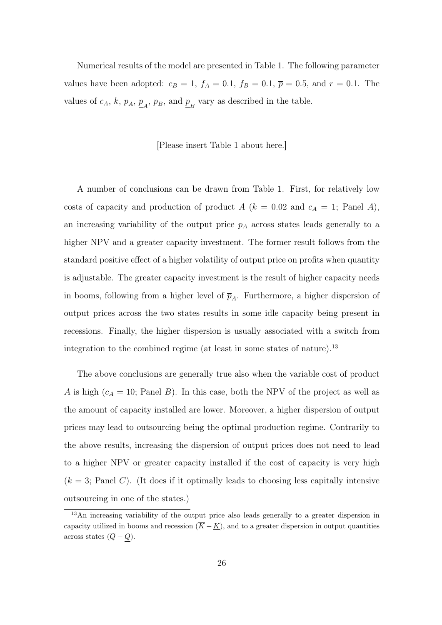Numerical results of the model are presented in Table 1. The following parameter values have been adopted:  $c_B = 1$ ,  $f_A = 0.1$ ,  $f_B = 0.1$ ,  $\bar{p} = 0.5$ , and  $r = 0.1$ . The values of  $c_A$ ,  $k$ ,  $\overline{p}_A$ ,  $\underline{p}_A$ ,  $\overline{p}_B$ , and  $\underline{p}_B$  vary as described in the table.

#### [Please insert Table 1 about here.]

A number of conclusions can be drawn from Table 1. First, for relatively low costs of capacity and production of product  $A (k = 0.02$  and  $c<sub>A</sub> = 1$ ; Panel A), an increasing variability of the output price  $p_A$  across states leads generally to a higher NPV and a greater capacity investment. The former result follows from the standard positive effect of a higher volatility of output price on profits when quantity is adjustable. The greater capacity investment is the result of higher capacity needs in booms, following from a higher level of  $\bar{p}_A$ . Furthermore, a higher dispersion of output prices across the two states results in some idle capacity being present in recessions. Finally, the higher dispersion is usually associated with a switch from integration to the combined regime (at least in some states of nature).<sup>13</sup>

The above conclusions are generally true also when the variable cost of product A is high  $(c_A = 10;$  Panel B). In this case, both the NPV of the project as well as the amount of capacity installed are lower. Moreover, a higher dispersion of output prices may lead to outsourcing being the optimal production regime. Contrarily to the above results, increasing the dispersion of output prices does not need to lead to a higher NPV or greater capacity installed if the cost of capacity is very high  $(k = 3;$  Panel C). (It does if it optimally leads to choosing less capitally intensive outsourcing in one of the states.)

<sup>&</sup>lt;sup>13</sup>An increasing variability of the output price also leads generally to a greater dispersion in capacity utilized in booms and recession  $(\overline{K} - K)$ , and to a greater dispersion in output quantities across states  $(\overline{Q} - Q)$ .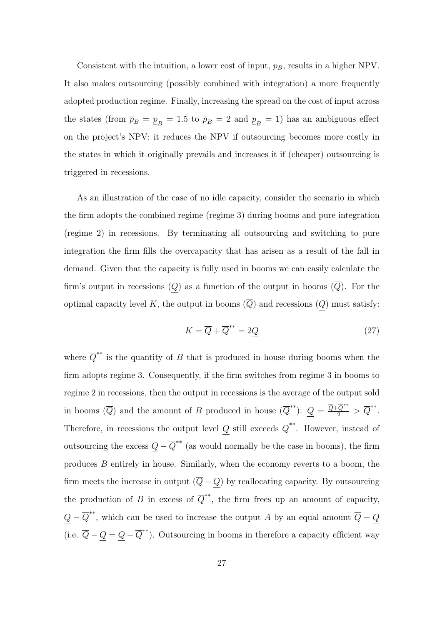Consistent with the intuition, a lower cost of input,  $p_B$ , results in a higher NPV. It also makes outsourcing (possibly combined with integration) a more frequently adopted production regime. Finally, increasing the spread on the cost of input across the states (from  $\bar{p}_B = \underline{p}_B = 1.5$  to  $\bar{p}_B = 2$  and  $\underline{p}_B = 1$ ) has an ambiguous effect on the project's NPV: it reduces the NPV if outsourcing becomes more costly in the states in which it originally prevails and increases it if (cheaper) outsourcing is triggered in recessions.

As an illustration of the case of no idle capacity, consider the scenario in which the firm adopts the combined regime (regime 3) during booms and pure integration (regime 2) in recessions. By terminating all outsourcing and switching to pure integration the firm fills the overcapacity that has arisen as a result of the fall in demand. Given that the capacity is fully used in booms we can easily calculate the firm's output in recessions  $(Q)$  as a function of the output in booms  $(\overline{Q})$ . For the optimal capacity level K, the output in booms  $(\overline{Q})$  and recessions  $(Q)$  must satisfy:

$$
K = \overline{Q} + \overline{Q}^{**} = 2\underline{Q} \tag{27}
$$

where  $\overline{Q}^{**}$  is the quantity of B that is produced in house during booms when the firm adopts regime 3. Consequently, if the firm switches from regime 3 in booms to regime 2 in recessions, then the output in recessions is the average of the output sold in booms  $(\overline{Q})$  and the amount of B produced in house  $(\overline{Q}^{**})$ :  $\underline{Q} = \frac{\overline{Q} + \overline{Q}^{**}}{2} > \overline{Q}^{**}$ . Therefore, in recessions the output level Q still exceeds  $\overline{Q}^{**}$ . However, instead of outsourcing the excess  $Q - \overline{Q}^{**}$  (as would normally be the case in booms), the firm produces B entirely in house. Similarly, when the economy reverts to a boom, the firm meets the increase in output  $(\overline{Q} - Q)$  by reallocating capacity. By outsourcing the production of B in excess of  $\overline{Q}^{**}$ , the firm frees up an amount of capacity,  $Q - \overline{Q}^{**}$ , which can be used to increase the output A by an equal amount  $\overline{Q} - Q$ (i.e.  $\overline{Q} - Q = Q - \overline{Q}^{**}$ ). Outsourcing in booms in therefore a capacity efficient way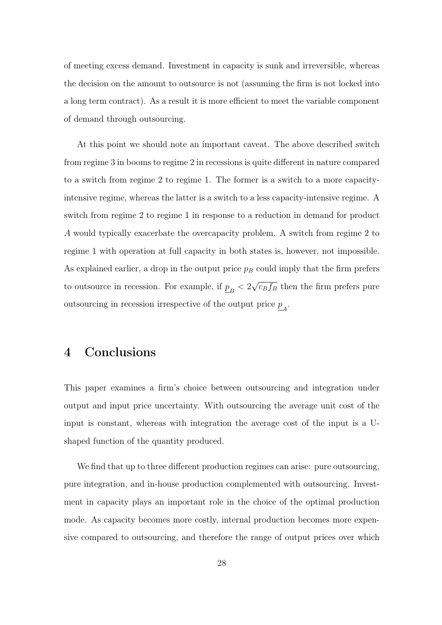of meeting excess demand. Investment in capacity is sunk and irreversible, whereas the decision on the amount to outsource is not (assuming the firm is not locked into a long term contract). As a result it is more efficient to meet the variable component of demand through outsourcing.

At this point we should note an important caveat. The above described switch from regime 3 in booms to regime 2 in recessions is quite different in nature compared to a switch from regime 2 to regime 1. The former is a switch to a more capacityintensive regime, whereas the latter is a switch to a less capacity-intensive regime. A switch from regime 2 to regime 1 in response to a reduction in demand for product A would typically exacerbate the overcapacity problem. A switch from regime 2 to regime 1 with operation at full capacity in both states is, however, not impossible. As explained earlier, a drop in the output price  $p_B$  could imply that the firm prefers to outsource in recession. For example, if  $\underline{p}_B < 2$ √  $\overline{c_B f_B}$  then the firm prefers pure outsourcing in recession irrespective of the output price  $\underline{p}_A$ .

### 4 Conclusions

This paper examines a firm's choice between outsourcing and integration under output and input price uncertainty. With outsourcing the average unit cost of the input is constant, whereas with integration the average cost of the input is a Ushaped function of the quantity produced.

We find that up to three different production regimes can arise: pure outsourcing, pure integration, and in-house production complemented with outsourcing. Investment in capacity plays an important role in the choice of the optimal production mode. As capacity becomes more costly, internal production becomes more expensive compared to outsourcing, and therefore the range of output prices over which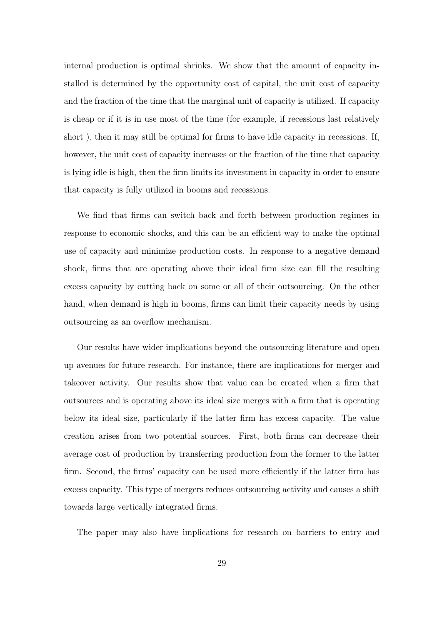internal production is optimal shrinks. We show that the amount of capacity installed is determined by the opportunity cost of capital, the unit cost of capacity and the fraction of the time that the marginal unit of capacity is utilized. If capacity is cheap or if it is in use most of the time (for example, if recessions last relatively short ), then it may still be optimal for firms to have idle capacity in recessions. If, however, the unit cost of capacity increases or the fraction of the time that capacity is lying idle is high, then the firm limits its investment in capacity in order to ensure that capacity is fully utilized in booms and recessions.

We find that firms can switch back and forth between production regimes in response to economic shocks, and this can be an efficient way to make the optimal use of capacity and minimize production costs. In response to a negative demand shock, firms that are operating above their ideal firm size can fill the resulting excess capacity by cutting back on some or all of their outsourcing. On the other hand, when demand is high in booms, firms can limit their capacity needs by using outsourcing as an overflow mechanism.

Our results have wider implications beyond the outsourcing literature and open up avenues for future research. For instance, there are implications for merger and takeover activity. Our results show that value can be created when a firm that outsources and is operating above its ideal size merges with a firm that is operating below its ideal size, particularly if the latter firm has excess capacity. The value creation arises from two potential sources. First, both firms can decrease their average cost of production by transferring production from the former to the latter firm. Second, the firms' capacity can be used more efficiently if the latter firm has excess capacity. This type of mergers reduces outsourcing activity and causes a shift towards large vertically integrated firms.

The paper may also have implications for research on barriers to entry and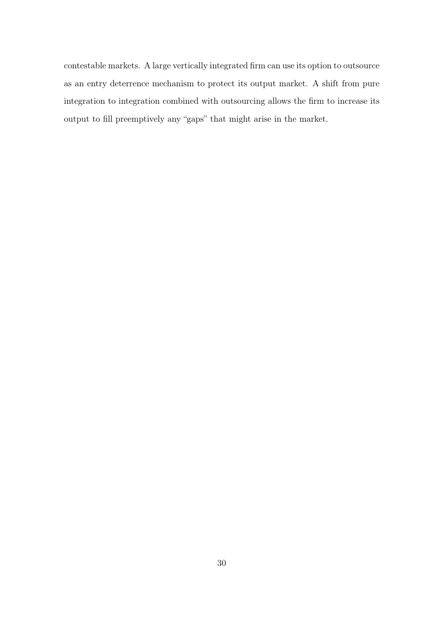contestable markets. A large vertically integrated firm can use its option to outsource as an entry deterrence mechanism to protect its output market. A shift from pure integration to integration combined with outsourcing allows the firm to increase its output to fill preemptively any "gaps" that might arise in the market.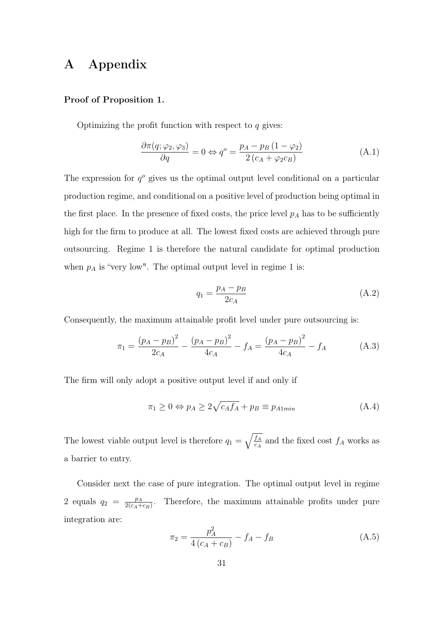## A Appendix

#### Proof of Proposition 1.

Optimizing the profit function with respect to  $q$  gives:

$$
\frac{\partial \pi(q; \varphi_2, \varphi_3)}{\partial q} = 0 \Leftrightarrow q^o = \frac{p_A - p_B (1 - \varphi_2)}{2 (c_A + \varphi_2 c_B)} \tag{A.1}
$$

The expression for  $q^o$  gives us the optimal output level conditional on a particular production regime, and conditional on a positive level of production being optimal in the first place. In the presence of fixed costs, the price level  $p_A$  has to be sufficiently high for the firm to produce at all. The lowest fixed costs are achieved through pure outsourcing. Regime 1 is therefore the natural candidate for optimal production when  $p_A$  is "very low". The optimal output level in regime 1 is:

$$
q_1 = \frac{p_A - p_B}{2c_A} \tag{A.2}
$$

Consequently, the maximum attainable profit level under pure outsourcing is:

$$
\pi_1 = \frac{(p_A - p_B)^2}{2c_A} - \frac{(p_A - p_B)^2}{4c_A} - f_A = \frac{(p_A - p_B)^2}{4c_A} - f_A \tag{A.3}
$$

The firm will only adopt a positive output level if and only if

$$
\pi_1 \ge 0 \Leftrightarrow p_A \ge 2\sqrt{c_A f_A} + p_B \equiv p_{A1min} \tag{A.4}
$$

The lowest viable output level is therefore  $q_1 = \sqrt{\frac{f_A}{c_A}}$  $\frac{f_A}{c_A}$  and the fixed cost  $f_A$  works as a barrier to entry.

Consider next the case of pure integration. The optimal output level in regime 2 equals  $q_2 = \frac{p_A}{2(c_A + p_A)}$  $\frac{p_A}{2(c_A+c_B)}$ . Therefore, the maximum attainable profits under pure integration are:

$$
\pi_2 = \frac{p_A^2}{4(c_A + c_B)} - f_A - f_B \tag{A.5}
$$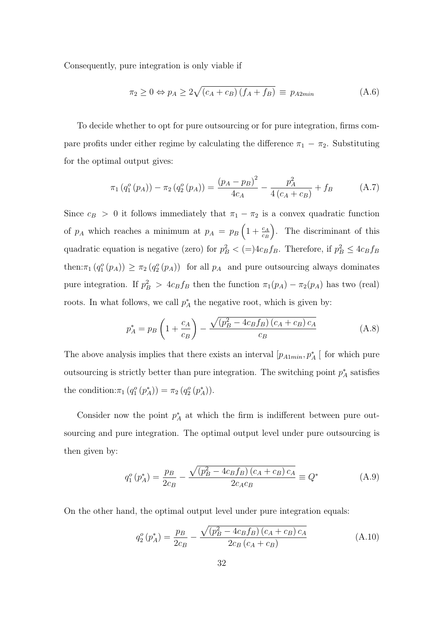Consequently, pure integration is only viable if

$$
\pi_2 \ge 0 \Leftrightarrow p_A \ge 2\sqrt{(c_A + c_B)(f_A + f_B)} \equiv p_{A2min} \tag{A.6}
$$

To decide whether to opt for pure outsourcing or for pure integration, firms compare profits under either regime by calculating the difference  $\pi_1 - \pi_2$ . Substituting for the optimal output gives:

$$
\pi_1(q_1^o(p_A)) - \pi_2(q_2^o(p_A)) = \frac{(p_A - p_B)^2}{4c_A} - \frac{p_A^2}{4(c_A + c_B)} + f_B \tag{A.7}
$$

Since  $c_B > 0$  it follows immediately that  $\pi_1 - \pi_2$  is a convex quadratic function of  $p_A$  which reaches a minimum at  $p_A = p_B \left(1 + \frac{c_A}{c_B}\right)$  . The discriminant of this quadratic equation is negative (zero) for  $p_B^2 < (=\)4c_Bf_B$ . Therefore, if  $p_B^2 \leq 4c_Bf_B$ then:  $\pi_1(q_1^o(p_A)) \geq \pi_2(q_2^o(p_A))$  for all  $p_A$  and pure outsourcing always dominates pure integration. If  $p_B^2 > 4c_Bf_B$  then the function  $\pi_1(p_A) - \pi_2(p_A)$  has two (real) roots. In what follows, we call  $p_A^*$  the negative root, which is given by:

$$
p_A^* = p_B \left( 1 + \frac{c_A}{c_B} \right) - \frac{\sqrt{(p_B^2 - 4c_B f_B)(c_A + c_B)c_A}}{c_B}
$$
 (A.8)

The above analysis implies that there exists an interval  $[p_{A1min}, p_A^*]$  for which pure outsourcing is strictly better than pure integration. The switching point  $p_A^*$  satisfies the condition:  $\pi_1(q_1^o(p_A^*)) = \pi_2(q_2^o(p_A^*))$ .

Consider now the point  $p_A^*$  at which the firm is indifferent between pure outsourcing and pure integration. The optimal output level under pure outsourcing is then given by:

$$
q_1^o(p_A^*) = \frac{p_B}{2c_B} - \frac{\sqrt{(p_B^2 - 4c_Bf_B)(c_A + c_B)c_A}}{2c_Ac_B} \equiv Q^*
$$
 (A.9)

On the other hand, the optimal output level under pure integration equals:

$$
q_2^o(p_A^*) = \frac{p_B}{2c_B} - \frac{\sqrt{(p_B^2 - 4c_Bf_B)(c_A + c_B)c_A}}{2c_B(c_A + c_B)}
$$
(A.10)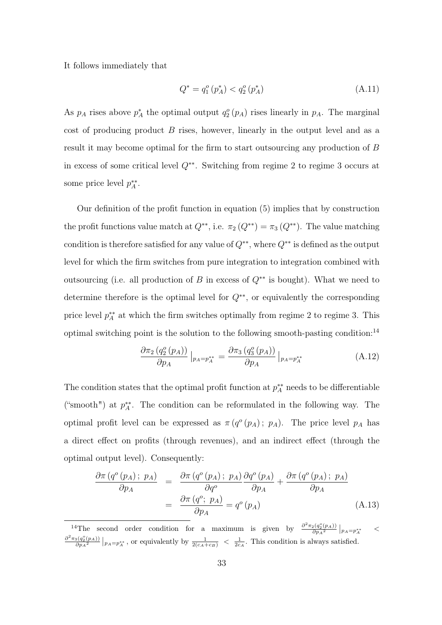It follows immediately that

$$
Q^* = q_1^o(p_A^*) < q_2^o(p_A^*)
$$
\n(A.11)

As  $p_A$  rises above  $p_A^*$  the optimal output  $q_2^o(p_A)$  rises linearly in  $p_A$ . The marginal cost of producing product  $B$  rises, however, linearly in the output level and as a result it may become optimal for the firm to start outsourcing any production of B in excess of some critical level Q∗∗. Switching from regime 2 to regime 3 occurs at some price level  $p_A^{**}$ .

Our definition of the profit function in equation (5) implies that by construction the profit functions value match at  $Q^{**}$ , i.e.  $\pi_2(Q^{**}) = \pi_3(Q^{**})$ . The value matching condition is therefore satisfied for any value of  $Q^{**}$ , where  $Q^{**}$  is defined as the output level for which the firm switches from pure integration to integration combined with outsourcing (i.e. all production of B in excess of  $Q^{**}$  is bought). What we need to determine therefore is the optimal level for  $Q^{**}$ , or equivalently the corresponding price level  $p_A^{**}$  at which the firm switches optimally from regime 2 to regime 3. This optimal switching point is the solution to the following smooth-pasting condition:<sup>14</sup>

$$
\frac{\partial \pi_2 \left( q_2^o \left( p_A \right) \right)}{\partial p_A} \Big|_{p_A = p_A^{**}} = \frac{\partial \pi_3 \left( q_3^o \left( p_A \right) \right)}{\partial p_A} \Big|_{p_A = p_A^{**}} \tag{A.12}
$$

The condition states that the optimal profit function at  $p_A^{**}$  needs to be differentiable ("smooth") at  $p_A^{**}$ . The condition can be reformulated in the following way. The optimal profit level can be expressed as  $\pi(q^{\circ}(p_A); p_A)$ . The price level  $p_A$  has a direct effect on profits (through revenues), and an indirect effect (through the optimal output level). Consequently:

$$
\frac{\partial \pi (q^o(p_A); p_A)}{\partial p_A} = \frac{\partial \pi (q^o(p_A); p_A)}{\partial q^o} \frac{\partial q^o(p_A)}{\partial p_A} + \frac{\partial \pi (q^o(p_A); p_A)}{\partial p_A}
$$
\n
$$
= \frac{\partial \pi (q^o; p_A)}{\partial p_A} = q^o(p_A) \tag{A.13}
$$

<sup>14</sup>The second order condition for a maximum is given by  $\frac{\partial^2 \pi_2(q_2^o(p_A))}{\partial p_A^2}$  $\frac{p_2(q_2^o(p_A))}{\partial p_A{}^2}\Big|_{p_A=p_A^{**}} \quad <$  $\frac{\partial^2 \pi_3(q^o_2(p_A))}{\partial}$  $\frac{3(q_2^o(p_A))}{\partial p_A^2}\big|_{p_A=p_A^{**}}$ , or equivalently by  $\frac{1}{2(c_A+c_B)} < \frac{1}{2c_A}$ . This condition is always satisfied.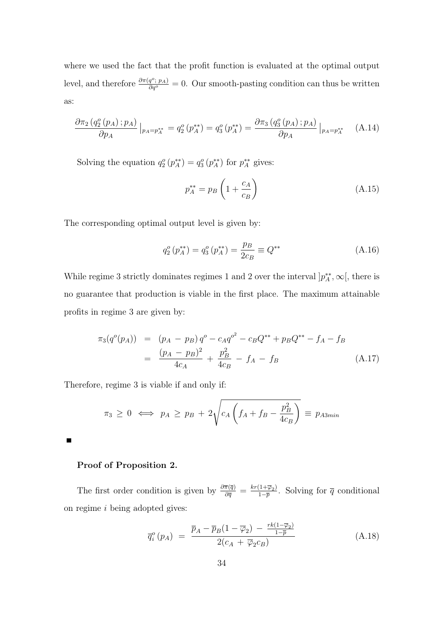where we used the fact that the profit function is evaluated at the optimal output level, and therefore  $\frac{\partial \pi(q^c; p_A)}{\partial q^o} = 0$ . Our smooth-pasting condition can thus be written as:

$$
\frac{\partial \pi_2 (q_2^o(p_A); p_A)}{\partial p_A} \Big|_{p_A = p_A^{**}} = q_2^o(p_A^{**}) = q_3^o(p_A^{**}) = \frac{\partial \pi_3 (q_3^o(p_A); p_A)}{\partial p_A} \Big|_{p_A = p_A^{**}} \quad (A.14)
$$

Solving the equation  $q_2^o(p_A^{**}) = q_3^o(p_A^{**})$  for  $p_A^{**}$  gives:

$$
p_A^{**} = p_B \left( 1 + \frac{c_A}{c_B} \right) \tag{A.15}
$$

The corresponding optimal output level is given by:

$$
q_2^o(p_A^{**}) = q_3^o(p_A^{**}) = \frac{p_B}{2c_B} \equiv Q^{**}
$$
\n(A.16)

While regime 3 strictly dominates regimes 1 and 2 over the interval  $[p_A^{**}, \infty],$  there is no guarantee that production is viable in the first place. The maximum attainable profits in regime 3 are given by:

$$
\pi_3(q^o(p_A)) = (p_A - p_B)q^o - c_A q^{o^2} - c_B Q^{**} + p_B Q^{**} - f_A - f_B
$$
  
= 
$$
\frac{(p_A - p_B)^2}{4c_A} + \frac{p_B^2}{4c_B} - f_A - f_B
$$
 (A.17)

Therefore, regime 3 is viable if and only if:

$$
\pi_3 \geq 0 \iff p_A \geq p_B + 2\sqrt{c_A \left(f_A + f_B - \frac{p_B^2}{4c_B}\right)} \equiv p_{A3min}
$$

 $\blacksquare$ 

#### Proof of Proposition 2.

The first order condition is given by  $\frac{\partial \overline{\pi}(\overline{q})}{\partial \overline{q}} = \frac{kr(1+\overline{\varphi}_2)}{1-\overline{p}}$  $\frac{(1+\varphi_2)}{1-\overline{p}}$ . Solving for  $\overline{q}$  conditional on regime i being adopted gives:

$$
\overline{q}_{i}^{o}\left(p_{A}\right) = \frac{\overline{p}_{A} - \overline{p}_{B}(1 - \overline{\varphi}_{2}) - \frac{rk(1 - \overline{\varphi}_{2})}{1 - \overline{p}}}{2(c_{A} + \overline{\varphi}_{2}c_{B})}
$$
(A.18)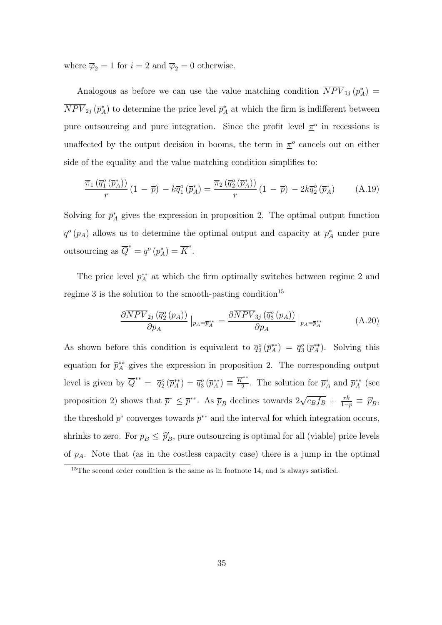where  $\overline{\varphi}_2 = 1$  for  $i = 2$  and  $\overline{\varphi}_2 = 0$  otherwise.

Analogous as before we can use the value matching condition  $\overline{NPV}_{1j}(\overline{p}_{A}^{*}) =$  $\overline{NPV}_{2j}(\overline{p}_{A}^{*})$  to determine the price level  $\overline{p}_{A}^{*}$  at which the firm is indifferent between pure outsourcing and pure integration. Since the profit level  $\pi^o$  in recessions is unaffected by the output decision in booms, the term in  $\pi^o$  cancels out on either side of the equality and the value matching condition simplifies to:

$$
\frac{\overline{\pi}_1(\overline{q}_1^o(\overline{p}_A^*))}{r}\left(1-\overline{p}\right) - k\overline{q}_1^o(\overline{p}_A^*) = \frac{\overline{\pi}_2(\overline{q}_2^o(\overline{p}_A^*))}{r}\left(1-\overline{p}\right) - 2k\overline{q}_2^o(\overline{p}_A^*)\tag{A.19}
$$

Solving for  $\bar{p}_A^*$  gives the expression in proposition 2. The optimal output function  $\bar{q}^o(p_A)$  allows us to determine the optimal output and capacity at  $\bar{p}_A^*$  under pure outsourcing as  $\overline{Q}^* = \overline{q}^o(\overline{p}_A^*) = \overline{K}^*.$ 

The price level  $\bar{p}_{A}^{**}$  at which the firm optimally switches between regime 2 and regime 3 is the solution to the smooth-pasting condition<sup>15</sup>

$$
\frac{\partial \overline{NPV}_{2j}(\overline{q}_{2}^{o}(p_{A}))}{\partial p_{A}}\big|_{p_{A}=\overline{p}_{A}^{**}} = \frac{\partial \overline{NPV}_{3j}(\overline{q}_{3}^{o}(p_{A}))}{\partial p_{A}}\big|_{p_{A}=\overline{p}_{A}^{**}}
$$
(A.20)

As shown before this condition is equivalent to  $\bar{q}_2^o(\bar{p}_A^{**}) = \bar{q}_3^o(\bar{p}_A^{**})$ . Solving this equation for  $\bar{p}_{A}^{**}$  gives the expression in proposition 2. The corresponding output level is given by  $\overline{Q}^{**} = \overline{q}_2^o(\overline{p}_A^{**}) = \overline{q}_3^o(\overline{p}_A^{**}) \equiv \frac{\overline{K}^{**}}{2}$  $\frac{\overline{r}^*}{2}$ . The solution for  $\overline{p}_A^*$  and  $\overline{p}_A^{**}$  (see proposition 2) shows that  $\bar{p}^* \leq \bar{p}^{**}$ . As  $\bar{p}_B$  declines towards  $2\sqrt{ }$  $\overline{c_B f_B} + \frac{rk}{1-r}$  $\frac{rk}{1-\overline{p}} \equiv \widehat{p}_B^{\prime},$ the threshold  $\bar{p}^*$  converges towards  $\bar{p}^{**}$  and the interval for which integration occurs, shrinks to zero. For  $\bar{p}_B \leq \hat{p}_B'$ , pure outsourcing is optimal for all (viable) price levels of  $p_A$ . Note that (as in the costless capacity case) there is a jump in the optimal

<sup>&</sup>lt;sup>15</sup>The second order condition is the same as in footnote 14, and is always satisfied.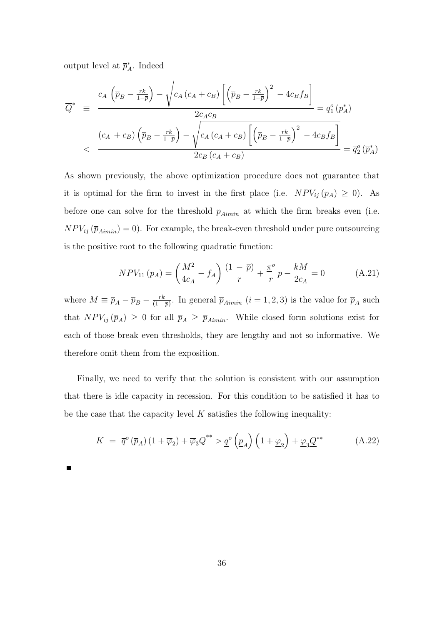output level at  $\bar{p}_A^*$ . Indeed

$$
\overline{Q}^* = \frac{c_A \left(\overline{p}_B - \frac{rk}{1-\overline{p}}\right) - \sqrt{c_A \left(c_A + c_B\right) \left[\left(\overline{p}_B - \frac{rk}{1-\overline{p}}\right)^2 - 4c_B f_B\right]}}{2c_A c_B} = \overline{q}_1^o \left(\overline{p}_A^*\right)
$$
\n
$$
< \frac{\left(c_A + c_B\right) \left(\overline{p}_B - \frac{rk}{1-\overline{p}}\right) - \sqrt{c_A \left(c_A + c_B\right) \left[\left(\overline{p}_B - \frac{rk}{1-\overline{p}}\right)^2 - 4c_B f_B\right]}}{2c_B \left(c_A + c_B\right)} = \overline{q}_2^o \left(\overline{p}_A^*\right)
$$

As shown previously, the above optimization procedure does not guarantee that it is optimal for the firm to invest in the first place (i.e.  $NPV_{ij}(p_A) \geq 0$ ). As before one can solve for the threshold  $\bar{p}_{Aimin}$  at which the firm breaks even (i.e.  $NPV_{ij}(\bar{p}_{Aimin}) = 0$ . For example, the break-even threshold under pure outsourcing is the positive root to the following quadratic function:

$$
NPV_{11}(p_A) = \left(\frac{M^2}{4c_A} - f_A\right)\frac{(1-\bar{p})}{r} + \frac{\pi^o}{r}\bar{p} - \frac{kM}{2c_A} = 0\tag{A.21}
$$

where  $M \equiv \overline{p}_A - \overline{p}_B - \frac{rk}{(1 - k)}$  $\frac{rk}{(1-\overline{p})}$ . In general  $\overline{p}_{Aimin}$   $(i = 1, 2, 3)$  is the value for  $\overline{p}_A$  such that  $NPV_{ij}(\bar{p}_A) \geq 0$  for all  $\bar{p}_A \geq \bar{p}_{Aimin}$ . While closed form solutions exist for each of those break even thresholds, they are lengthy and not so informative. We therefore omit them from the exposition.

Finally, we need to verify that the solution is consistent with our assumption that there is idle capacity in recession. For this condition to be satisfied it has to be the case that the capacity level  $K$  satisfies the following inequality:

$$
K = \overline{q}^o(\overline{p}_A) \left(1 + \overline{\varphi}_2\right) + \overline{\varphi}_3 \overline{Q}^{**} > \underline{q}^o\left(\underline{p}_A\right) \left(1 + \underline{\varphi}_2\right) + \underline{\varphi}_3 \underline{Q}^{**} \tag{A.22}
$$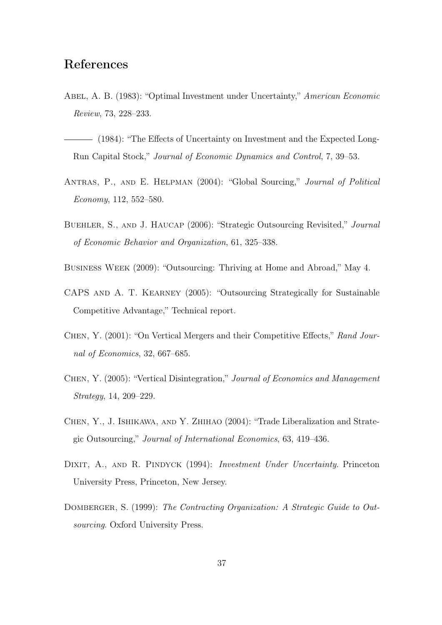## References

- Abel, A. B. (1983): "Optimal Investment under Uncertainty," American Economic Review, 73, 228–233.
- (1984): "The Effects of Uncertainty on Investment and the Expected Long-Run Capital Stock," Journal of Economic Dynamics and Control, 7, 39–53.
- Antras, P., and E. Helpman (2004): "Global Sourcing," Journal of Political Economy, 112, 552–580.
- Buehler, S., and J. Haucap (2006): "Strategic Outsourcing Revisited," Journal of Economic Behavior and Organization, 61, 325–338.
- Business Week (2009): "Outsourcing: Thriving at Home and Abroad," May 4.
- CAPS and A. T. Kearney (2005): "Outsourcing Strategically for Sustainable Competitive Advantage," Technical report.
- Chen, Y. (2001): "On Vertical Mergers and their Competitive Effects," Rand Journal of Economics, 32, 667–685.
- Chen, Y. (2005): "Vertical Disintegration," Journal of Economics and Management Strategy, 14, 209–229.
- Chen, Y., J. Ishikawa, and Y. Zhihao (2004): "Trade Liberalization and Strategic Outsourcing," Journal of International Economics, 63, 419–436.
- DIXIT, A., AND R. PINDYCK (1994): *Investment Under Uncertainty*. Princeton University Press, Princeton, New Jersey.
- DOMBERGER, S. (1999): The Contracting Organization: A Strategic Guide to Outsourcing. Oxford University Press.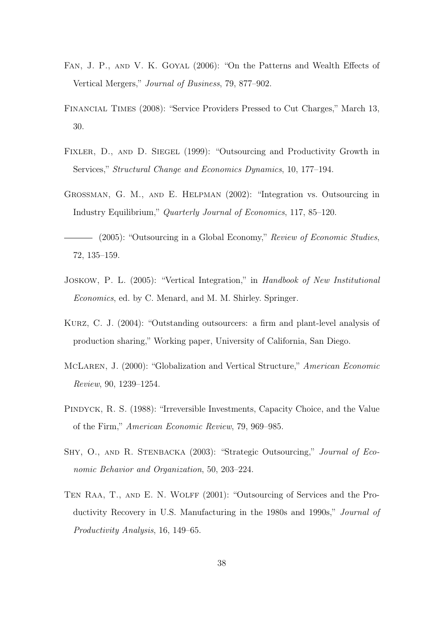- Fan, J. P., and V. K. Goyal (2006): "On the Patterns and Wealth Effects of Vertical Mergers," Journal of Business, 79, 877–902.
- Financial Times (2008): "Service Providers Pressed to Cut Charges," March 13, 30.
- FIXLER, D., AND D. SIEGEL (1999): "Outsourcing and Productivity Growth in Services," Structural Change and Economics Dynamics, 10, 177–194.
- Grossman, G. M., and E. Helpman (2002): "Integration vs. Outsourcing in Industry Equilibrium," Quarterly Journal of Economics, 117, 85–120.

- (2005): "Outsourcing in a Global Economy," Review of Economic Studies, 72, 135–159.

- Joskow, P. L. (2005): "Vertical Integration," in Handbook of New Institutional Economics, ed. by C. Menard, and M. M. Shirley. Springer.
- Kurz, C. J. (2004): "Outstanding outsourcers: a firm and plant-level analysis of production sharing," Working paper, University of California, San Diego.
- McLaren, J. (2000): "Globalization and Vertical Structure," American Economic Review, 90, 1239–1254.
- Pindyck, R. S. (1988): "Irreversible Investments, Capacity Choice, and the Value of the Firm," American Economic Review, 79, 969–985.
- SHY, O., AND R. STENBACKA (2003): "Strategic Outsourcing," Journal of Economic Behavior and Organization, 50, 203–224.
- TEN RAA, T., AND E. N. WOLFF (2001): "Outsourcing of Services and the Productivity Recovery in U.S. Manufacturing in the 1980s and 1990s," Journal of Productivity Analysis, 16, 149–65.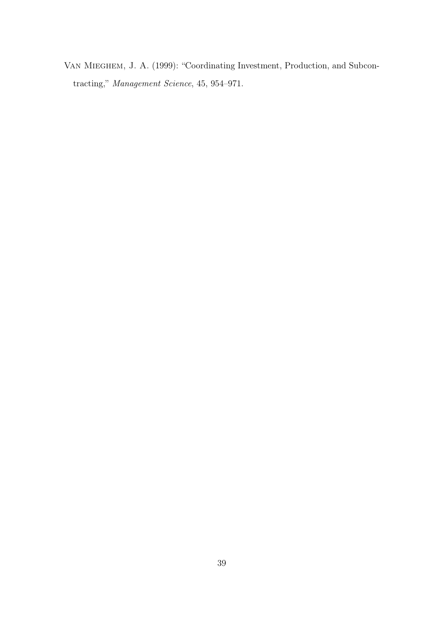Van Mieghem, J. A. (1999): "Coordinating Investment, Production, and Subcontracting," Management Science, 45, 954–971.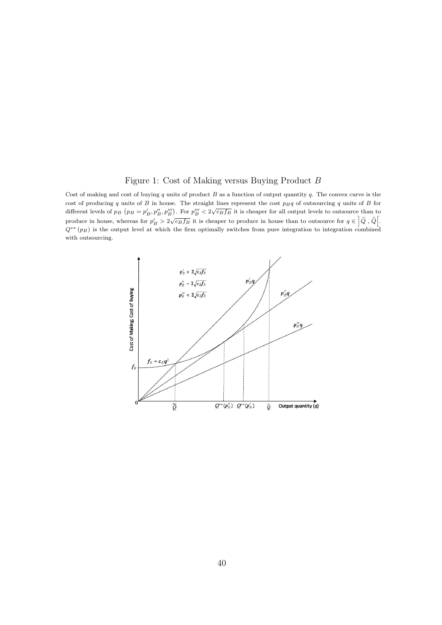#### Figure 1: Cost of Making versus Buying Product B

Cost of making and cost of buying  $q$  units of product  $B$  as a function of output quantity  $q$ . The convex curve is the cost of producing q units of B in house. The straight lines represent the cost  $p_Bq$  of outsourcing q units of B for different levels of  $p_B$  ( $p_B = p'_B$ ,  $p''_B$ ,  $p'''_B$ ). For  $p'''_B < 2\sqrt{c_B f_B}$  it is cheaper for all output levels to outsource than to produce in house, whereas for  $p'_B > 2\sqrt{c_B f_B}$  it is cheaper to produce in house than to outsource for  $q \in \left[\tilde{Q}, \tilde{Q}\right]$ .  $Q^{**}(p_B)$  is the output level at which the firm optimally switches from pure integration to integration combined with outsourcing.

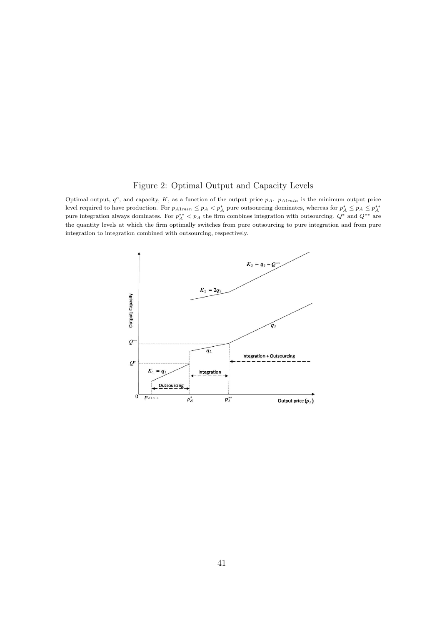#### Figure 2: Optimal Output and Capacity Levels

Optimal output,  $q^o$ , and capacity, K, as a function of the output price  $p_A$ .  $p_{A1min}$  is the minimum output price level required to have production. For  $p_{A1min} \leq p_A < p_A^*$  pure outsourcing dominates, whereas for  $p_A^* \leq p_A \leq p_A^{**}$ <br>pure integration always dominates. For  $p_A^{**} < p_A$  the firm combines integration with outsourcing.  $Q^*$ the quantity levels at which the firm optimally switches from pure outsourcing to pure integration and from pure integration to integration combined with outsourcing, respectively.